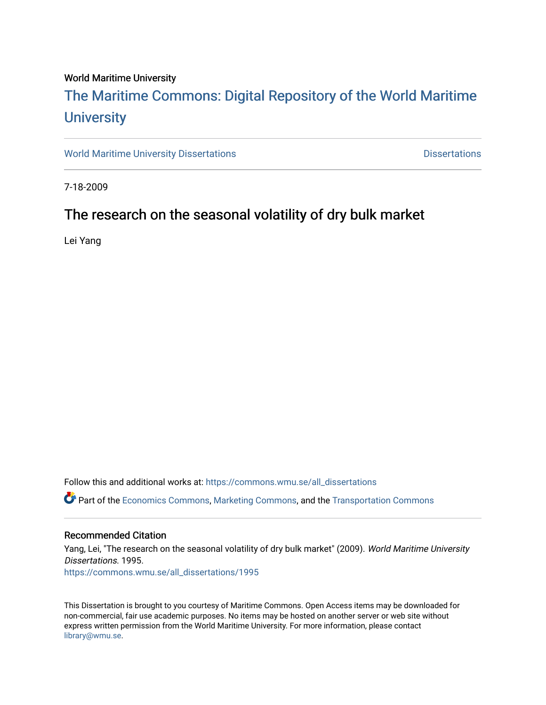### World Maritime University

# [The Maritime Commons: Digital Repository of the World Maritime](https://commons.wmu.se/)  **University**

[World Maritime University Dissertations](https://commons.wmu.se/all_dissertations) **Example 20 and Taylor 10 and Taylor** Dissertations

7-18-2009

### The research on the seasonal volatility of dry bulk market

Lei Yang

Follow this and additional works at: [https://commons.wmu.se/all\\_dissertations](https://commons.wmu.se/all_dissertations?utm_source=commons.wmu.se%2Fall_dissertations%2F1995&utm_medium=PDF&utm_campaign=PDFCoverPages) 

Part of the [Economics Commons](http://network.bepress.com/hgg/discipline/340?utm_source=commons.wmu.se%2Fall_dissertations%2F1995&utm_medium=PDF&utm_campaign=PDFCoverPages), [Marketing Commons,](http://network.bepress.com/hgg/discipline/638?utm_source=commons.wmu.se%2Fall_dissertations%2F1995&utm_medium=PDF&utm_campaign=PDFCoverPages) and the [Transportation Commons](http://network.bepress.com/hgg/discipline/1068?utm_source=commons.wmu.se%2Fall_dissertations%2F1995&utm_medium=PDF&utm_campaign=PDFCoverPages) 

### Recommended Citation

Yang, Lei, "The research on the seasonal volatility of dry bulk market" (2009). World Maritime University Dissertations. 1995. [https://commons.wmu.se/all\\_dissertations/1995](https://commons.wmu.se/all_dissertations/1995?utm_source=commons.wmu.se%2Fall_dissertations%2F1995&utm_medium=PDF&utm_campaign=PDFCoverPages)

This Dissertation is brought to you courtesy of Maritime Commons. Open Access items may be downloaded for non-commercial, fair use academic purposes. No items may be hosted on another server or web site without express written permission from the World Maritime University. For more information, please contact [library@wmu.se](mailto:library@wmu.edu).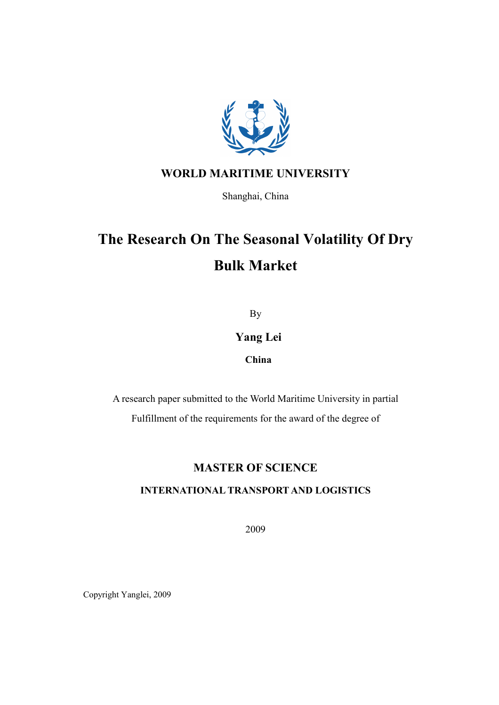

### WORLD MARITIME UNIVERSITY

Shanghai, China

# The Research On The Seasonal Volatility Of Dry Bulk Market

By

### Yang Lei

### China

A research paper submitted to the World Maritime University in partial Fulfillment of the requirements for the award of the degree of

### MASTER OF SCIENCE

### I
TER
ATIO
AL TRA
SPORT A
D LOGISTICS

2009

Copyright Yanglei, 2009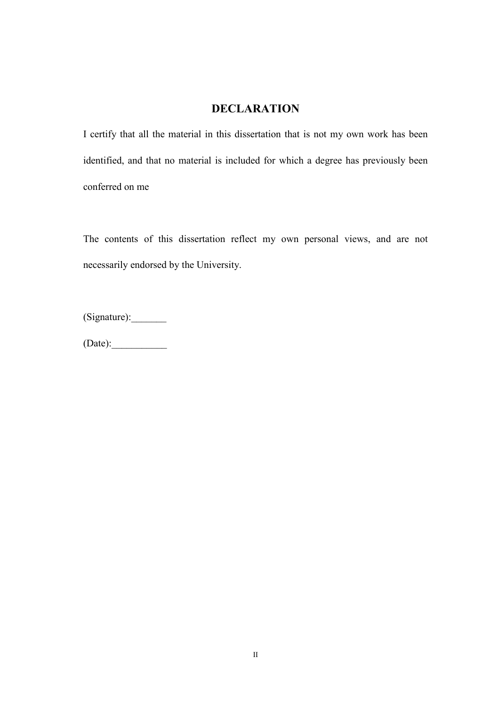### **DECLARATION**

I certify that all the material in this dissertation that is not my own work has been identified, and that no material is included for which a degree has previously been conferred on me

The contents of this dissertation reflect my own personal views, and are not necessarily endorsed by the University.

(Signature):\_\_\_\_\_\_\_

 $(Date):$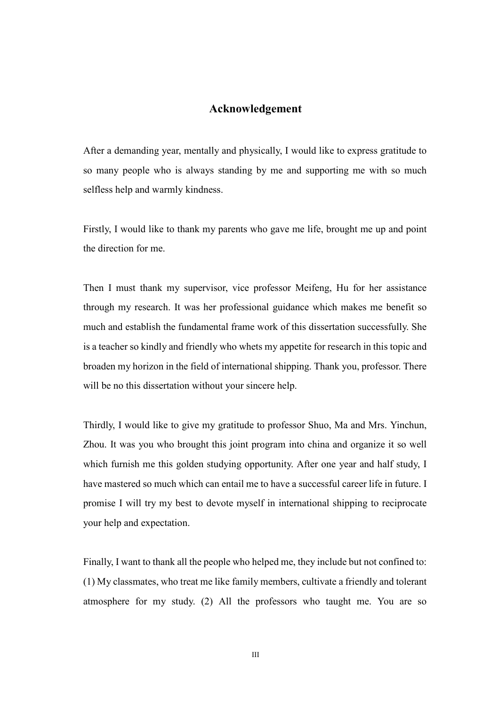### Acknowledgement

After a demanding year, mentally and physically, I would like to express gratitude to so many people who is always standing by me and supporting me with so much selfless help and warmly kindness.

Firstly, I would like to thank my parents who gave me life, brought me up and point the direction for me.

Then I must thank my supervisor, vice professor Meifeng, Hu for her assistance through my research. It was her professional guidance which makes me benefit so much and establish the fundamental frame work of this dissertation successfully. She is a teacher so kindly and friendly who whets my appetite for research in this topic and broaden my horizon in the field of international shipping. Thank you, professor. There will be no this dissertation without your sincere help.

Thirdly, I would like to give my gratitude to professor Shuo, Ma and Mrs. Yinchun, Zhou. It was you who brought this joint program into china and organize it so well which furnish me this golden studying opportunity. After one year and half study, I have mastered so much which can entail me to have a successful career life in future. I promise I will try my best to devote myself in international shipping to reciprocate your help and expectation.

Finally, I want to thank all the people who helped me, they include but not confined to: (1) My classmates, who treat me like family members, cultivate a friendly and tolerant atmosphere for my study. (2) All the professors who taught me. You are so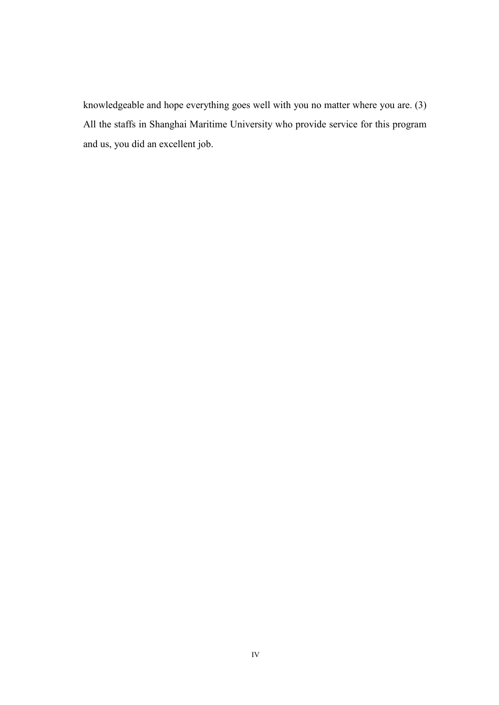knowledgeable and hope everything goes well with you no matter where you are. (3) All the staffs in Shanghai Maritime University who provide service for this program and us, you did an excellent job.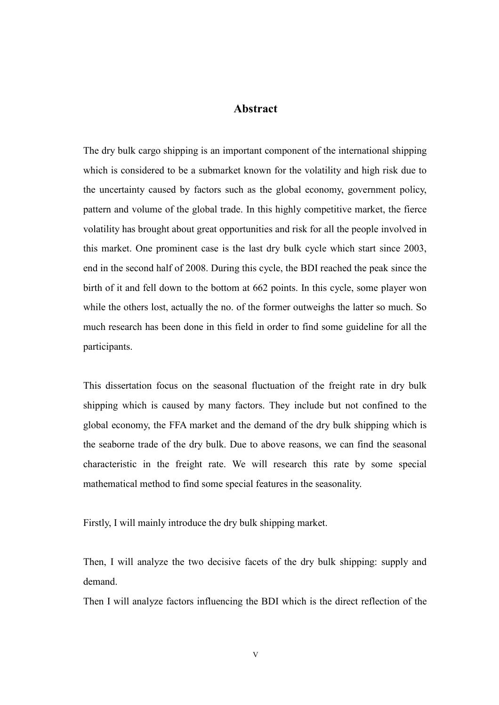### Abstract

The dry bulk cargo shipping is an important component of the international shipping which is considered to be a submarket known for the volatility and high risk due to the uncertainty caused by factors such as the global economy, government policy, pattern and volume of the global trade. In this highly competitive market, the fierce volatility has brought about great opportunities and risk for all the people involved in this market. One prominent case is the last dry bulk cycle which start since 2003, end in the second half of 2008. During this cycle, the BDI reached the peak since the birth of it and fell down to the bottom at 662 points. In this cycle, some player won while the others lost, actually the no. of the former outweighs the latter so much. So much research has been done in this field in order to find some guideline for all the participants.

This dissertation focus on the seasonal fluctuation of the freight rate in dry bulk shipping which is caused by many factors. They include but not confined to the global economy, the FFA market and the demand of the dry bulk shipping which is the seaborne trade of the dry bulk. Due to above reasons, we can find the seasonal characteristic in the freight rate. We will research this rate by some special mathematical method to find some special features in the seasonality.

Firstly, I will mainly introduce the dry bulk shipping market.

Then, I will analyze the two decisive facets of the dry bulk shipping: supply and demand.

Then I will analyze factors influencing the BDI which is the direct reflection of the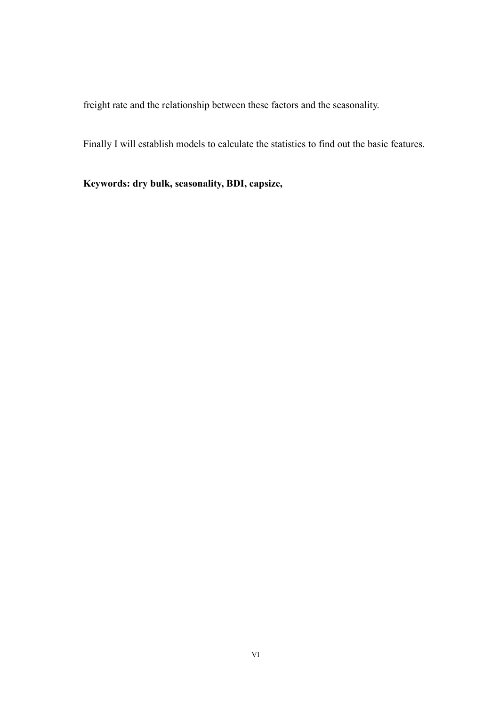freight rate and the relationship between these factors and the seasonality.

Finally I will establish models to calculate the statistics to find out the basic features.

Keywords: dry bulk, seasonality, BDI, capsize,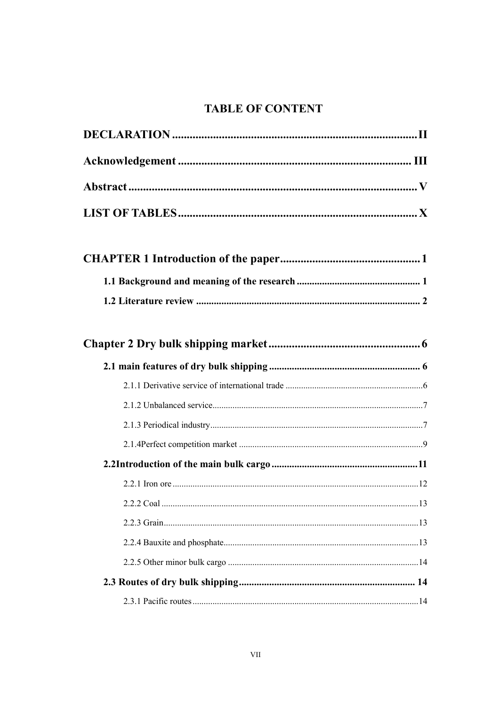## **TABLE OF CONTENT**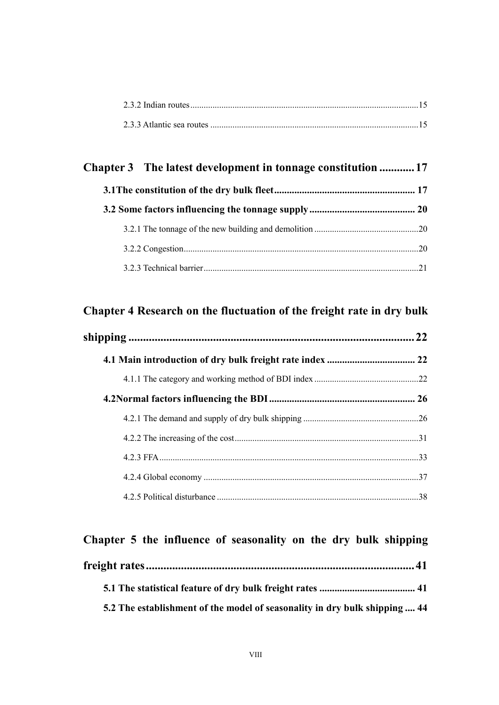## Chapter 3 The latest development in tonnage constitution ............ 17 3.1The constitution of the dry bulk fleet ........................................................ 17

### Chapter 4 Research on the fluctuation of the freight rate in dry bulk

| 22 |
|----|
|    |
|    |
|    |
|    |
|    |
|    |
|    |
|    |

# Chapter 5 the influence of seasonality on the dry bulk shipping freight rates ............................................................................................ 41

| 5.2 The establishment of the model of seasonality in dry bulk shipping  44 |  |
|----------------------------------------------------------------------------|--|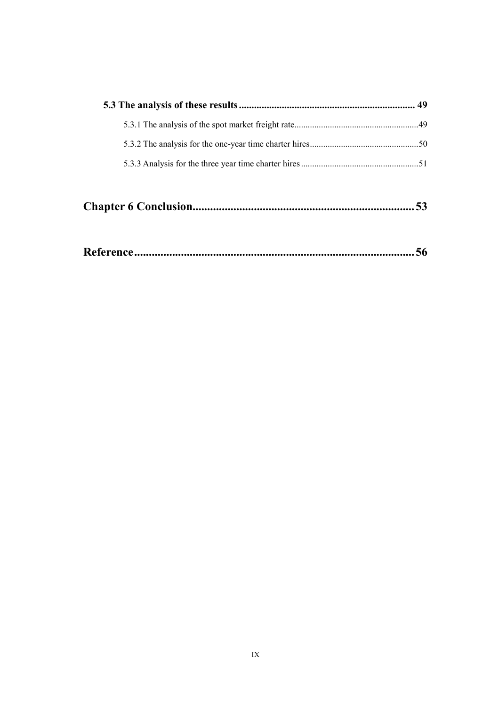|--|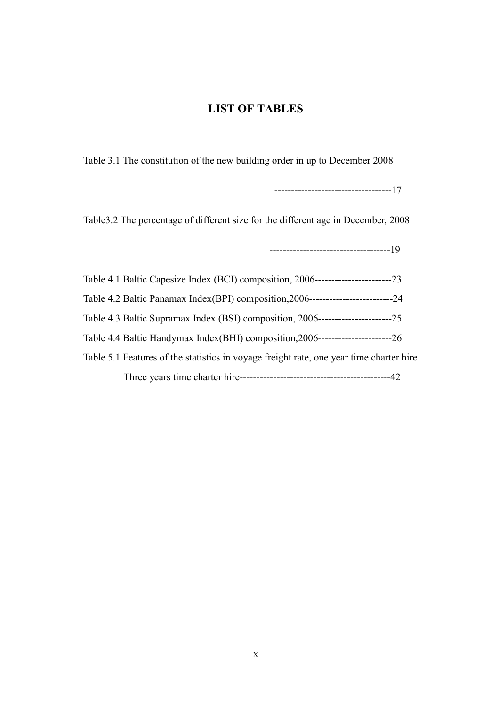### LIST OF TABLES

Table 3.1 The constitution of the new building order in up to December 2008

-----------------------------------17

Table3.2 The percentage of different size for the different age in December, 2008

------------------------------------19

|                                                                                         | -23    |
|-----------------------------------------------------------------------------------------|--------|
| Table 4.2 Baltic Panamax Index(BPI) composition, 2006---------------------------        | $-2.4$ |
| Table 4.3 Baltic Supramax Index (BSI) composition, 2006--<br>----------------           | -25    |
| Table 4.4 Baltic Handymax Index(BHI) composition, 2006----                              | -26    |
| Table 5.1 Features of the statistics in voyage freight rate, one year time charter hire |        |
| Three years time charter hire--                                                         |        |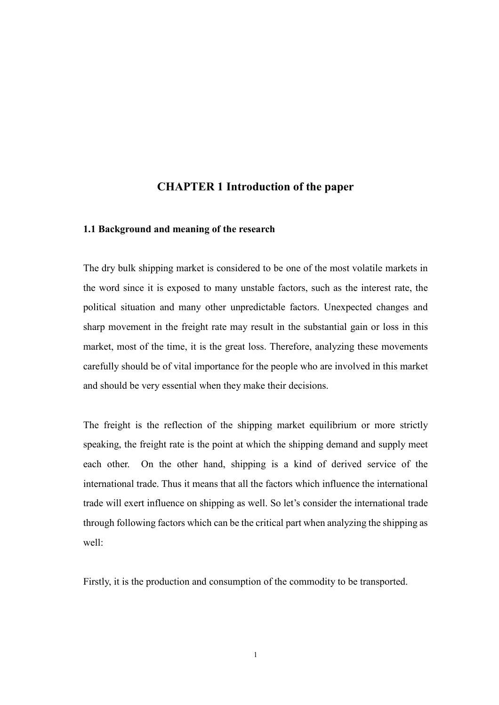### CHAPTER 1 Introduction of the paper

### 1.1 Background and meaning of the research

The dry bulk shipping market is considered to be one of the most volatile markets in the word since it is exposed to many unstable factors, such as the interest rate, the political situation and many other unpredictable factors. Unexpected changes and sharp movement in the freight rate may result in the substantial gain or loss in this market, most of the time, it is the great loss. Therefore, analyzing these movements carefully should be of vital importance for the people who are involved in this market and should be very essential when they make their decisions.

The freight is the reflection of the shipping market equilibrium or more strictly speaking, the freight rate is the point at which the shipping demand and supply meet each other. On the other hand, shipping is a kind of derived service of the international trade. Thus it means that all the factors which influence the international trade will exert influence on shipping as well. So let's consider the international trade through following factors which can be the critical part when analyzing the shipping as well:

Firstly, it is the production and consumption of the commodity to be transported.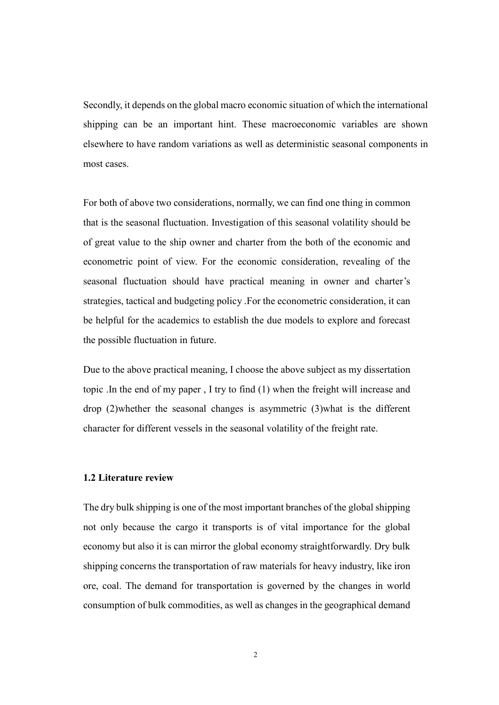Secondly, it depends on the global macro economic situation of which the international shipping can be an important hint. These macroeconomic variables are shown elsewhere to have random variations as well as deterministic seasonal components in most cases.

For both of above two considerations, normally, we can find one thing in common that is the seasonal fluctuation. Investigation of this seasonal volatility should be of great value to the ship owner and charter from the both of the economic and econometric point of view. For the economic consideration, revealing of the seasonal fluctuation should have practical meaning in owner and charter's strategies, tactical and budgeting policy .For the econometric consideration, it can be helpful for the academics to establish the due models to explore and forecast the possible fluctuation in future.

Due to the above practical meaning, I choose the above subject as my dissertation topic .In the end of my paper , I try to find (1) when the freight will increase and drop (2)whether the seasonal changes is asymmetric (3)what is the different character for different vessels in the seasonal volatility of the freight rate.

### 1.2 Literature review

The dry bulk shipping is one of the most important branches of the global shipping not only because the cargo it transports is of vital importance for the global economy but also it is can mirror the global economy straightforwardly. Dry bulk shipping concerns the transportation of raw materials for heavy industry, like iron ore, coal. The demand for transportation is governed by the changes in world consumption of bulk commodities, as well as changes in the geographical demand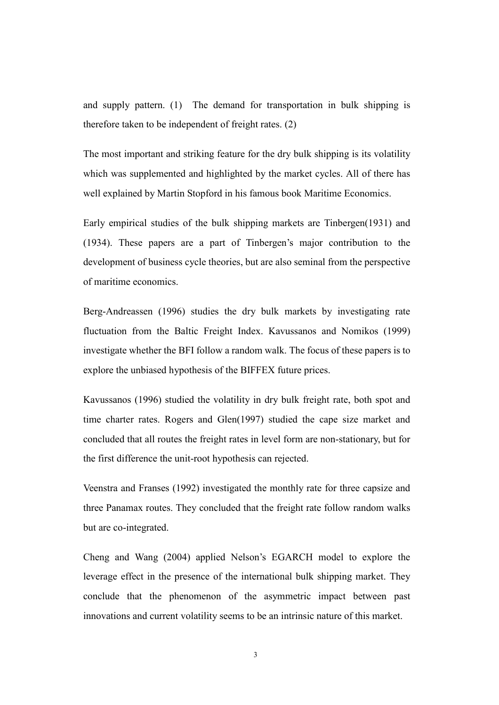and supply pattern. (1) The demand for transportation in bulk shipping is therefore taken to be independent of freight rates. (2)

The most important and striking feature for the dry bulk shipping is its volatility which was supplemented and highlighted by the market cycles. All of there has well explained by Martin Stopford in his famous book Maritime Economics.

Early empirical studies of the bulk shipping markets are Tinbergen(1931) and (1934). These papers are a part of Tinbergen's major contribution to the development of business cycle theories, but are also seminal from the perspective of maritime economics.

Berg-Andreassen (1996) studies the dry bulk markets by investigating rate fluctuation from the Baltic Freight Index. Kavussanos and Nomikos (1999) investigate whether the BFI follow a random walk. The focus of these papers is to explore the unbiased hypothesis of the BIFFEX future prices.

Kavussanos (1996) studied the volatility in dry bulk freight rate, both spot and time charter rates. Rogers and Glen(1997) studied the cape size market and concluded that all routes the freight rates in level form are non-stationary, but for the first difference the unit-root hypothesis can rejected.

Veenstra and Franses (1992) investigated the monthly rate for three capsize and three Panamax routes. They concluded that the freight rate follow random walks but are co-integrated.

Cheng and Wang (2004) applied Nelson's EGARCH model to explore the leverage effect in the presence of the international bulk shipping market. They conclude that the phenomenon of the asymmetric impact between past innovations and current volatility seems to be an intrinsic nature of this market.

3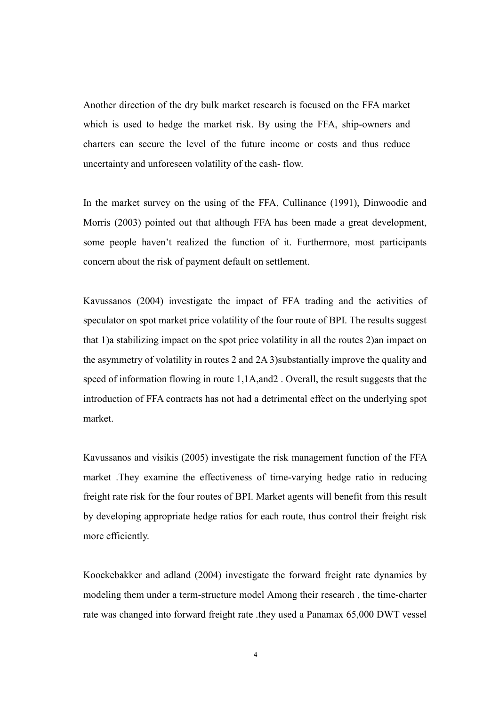Another direction of the dry bulk market research is focused on the FFA market which is used to hedge the market risk. By using the FFA, ship-owners and charters can secure the level of the future income or costs and thus reduce uncertainty and unforeseen volatility of the cash- flow.

In the market survey on the using of the FFA, Cullinance (1991), Dinwoodie and Morris (2003) pointed out that although FFA has been made a great development, some people haven't realized the function of it. Furthermore, most participants concern about the risk of payment default on settlement.

Kavussanos (2004) investigate the impact of FFA trading and the activities of speculator on spot market price volatility of the four route of BPI. The results suggest that 1)a stabilizing impact on the spot price volatility in all the routes 2)an impact on the asymmetry of volatility in routes 2 and 2A 3)substantially improve the quality and speed of information flowing in route 1,1A,and2 . Overall, the result suggests that the introduction of FFA contracts has not had a detrimental effect on the underlying spot market.

Kavussanos and visikis (2005) investigate the risk management function of the FFA market .They examine the effectiveness of time-varying hedge ratio in reducing freight rate risk for the four routes of BPI. Market agents will benefit from this result by developing appropriate hedge ratios for each route, thus control their freight risk more efficiently.

Kooekebakker and adland (2004) investigate the forward freight rate dynamics by modeling them under a term-structure model Among their research , the time-charter rate was changed into forward freight rate .they used a Panamax 65,000 DWT vessel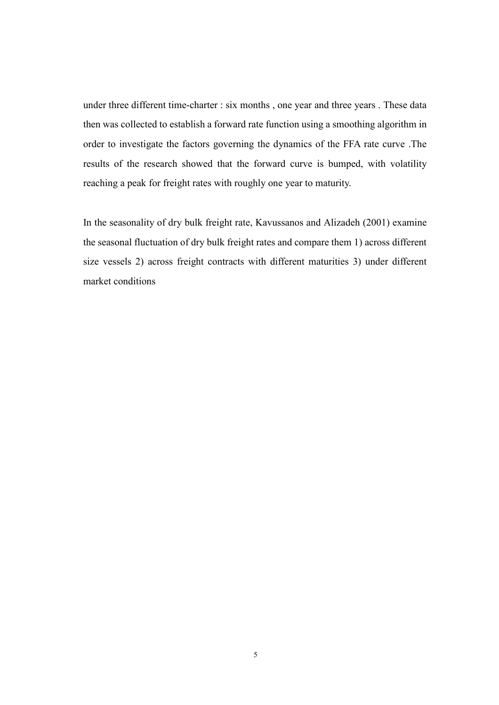under three different time-charter : six months , one year and three years . These data then was collected to establish a forward rate function using a smoothing algorithm in order to investigate the factors governing the dynamics of the FFA rate curve .The results of the research showed that the forward curve is bumped, with volatility reaching a peak for freight rates with roughly one year to maturity.

In the seasonality of dry bulk freight rate, Kavussanos and Alizadeh (2001) examine the seasonal fluctuation of dry bulk freight rates and compare them 1) across different size vessels 2) across freight contracts with different maturities 3) under different market conditions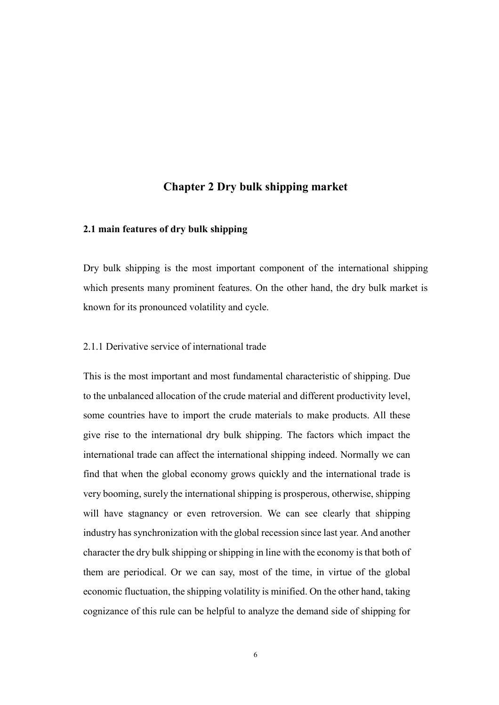### Chapter 2 Dry bulk shipping market

### 2.1 main features of dry bulk shipping

Dry bulk shipping is the most important component of the international shipping which presents many prominent features. On the other hand, the dry bulk market is known for its pronounced volatility and cycle.

### 2.1.1 Derivative service of international trade

This is the most important and most fundamental characteristic of shipping. Due to the unbalanced allocation of the crude material and different productivity level, some countries have to import the crude materials to make products. All these give rise to the international dry bulk shipping. The factors which impact the international trade can affect the international shipping indeed. Normally we can find that when the global economy grows quickly and the international trade is very booming, surely the international shipping is prosperous, otherwise, shipping will have stagnancy or even retroversion. We can see clearly that shipping industry has synchronization with the global recession since last year. And another character the dry bulk shipping or shipping in line with the economy is that both of them are periodical. Or we can say, most of the time, in virtue of the global economic fluctuation, the shipping volatility is minified. On the other hand, taking cognizance of this rule can be helpful to analyze the demand side of shipping for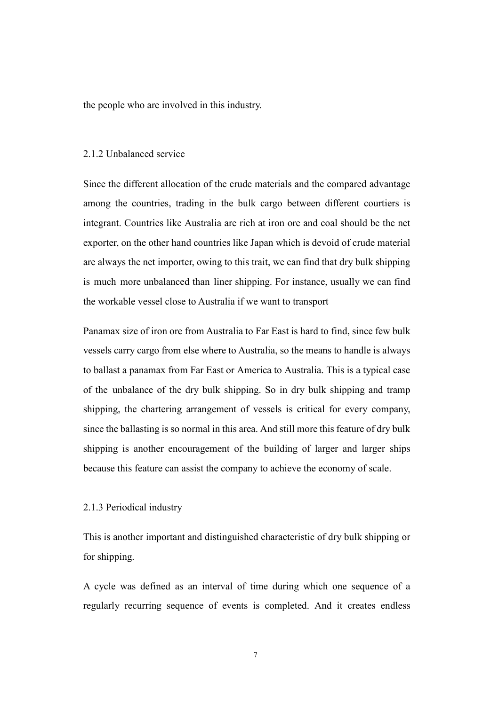the people who are involved in this industry.

### 2.1.2 Unbalanced service

Since the different allocation of the crude materials and the compared advantage among the countries, trading in the bulk cargo between different courtiers is integrant. Countries like Australia are rich at iron ore and coal should be the net exporter, on the other hand countries like Japan which is devoid of crude material are always the net importer, owing to this trait, we can find that dry bulk shipping is much more unbalanced than liner shipping. For instance, usually we can find the workable vessel close to Australia if we want to transport

Panamax size of iron ore from Australia to Far East is hard to find, since few bulk vessels carry cargo from else where to Australia, so the means to handle is always to ballast a panamax from Far East or America to Australia. This is a typical case of the unbalance of the dry bulk shipping. So in dry bulk shipping and tramp shipping, the chartering arrangement of vessels is critical for every company, since the ballasting is so normal in this area. And still more this feature of dry bulk shipping is another encouragement of the building of larger and larger ships because this feature can assist the company to achieve the economy of scale.

#### 2.1.3 Periodical industry

This is another important and distinguished characteristic of dry bulk shipping or for shipping.

A cycle was defined as an interval of time during which one sequence of a regularly recurring sequence of events is completed. And it creates endless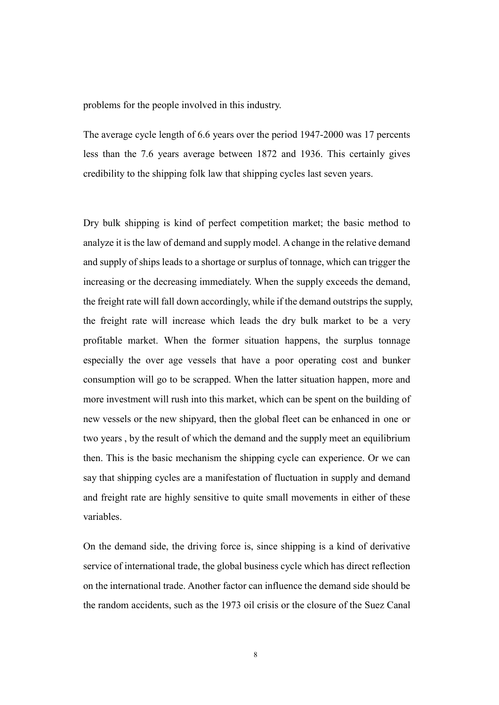problems for the people involved in this industry.

The average cycle length of 6.6 years over the period 1947-2000 was 17 percents less than the 7.6 years average between 1872 and 1936. This certainly gives credibility to the shipping folk law that shipping cycles last seven years.

Dry bulk shipping is kind of perfect competition market; the basic method to analyze it is the law of demand and supply model. A change in the relative demand and supply of ships leads to a shortage or surplus of tonnage, which can trigger the increasing or the decreasing immediately. When the supply exceeds the demand, the freight rate will fall down accordingly, while if the demand outstrips the supply, the freight rate will increase which leads the dry bulk market to be a very profitable market. When the former situation happens, the surplus tonnage especially the over age vessels that have a poor operating cost and bunker consumption will go to be scrapped. When the latter situation happen, more and more investment will rush into this market, which can be spent on the building of new vessels or the new shipyard, then the global fleet can be enhanced in one or two years , by the result of which the demand and the supply meet an equilibrium then. This is the basic mechanism the shipping cycle can experience. Or we can say that shipping cycles are a manifestation of fluctuation in supply and demand and freight rate are highly sensitive to quite small movements in either of these variables.

On the demand side, the driving force is, since shipping is a kind of derivative service of international trade, the global business cycle which has direct reflection on the international trade. Another factor can influence the demand side should be the random accidents, such as the 1973 oil crisis or the closure of the Suez Canal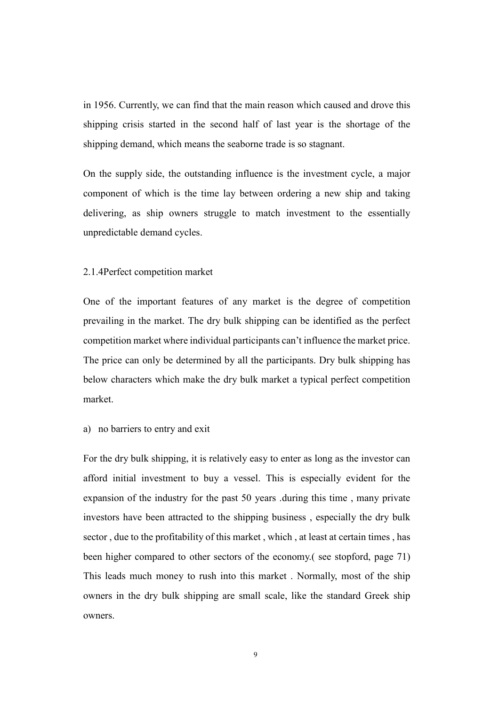in 1956. Currently, we can find that the main reason which caused and drove this shipping crisis started in the second half of last year is the shortage of the shipping demand, which means the seaborne trade is so stagnant.

On the supply side, the outstanding influence is the investment cycle, a major component of which is the time lay between ordering a new ship and taking delivering, as ship owners struggle to match investment to the essentially unpredictable demand cycles.

### 2.1.4Perfect competition market

One of the important features of any market is the degree of competition prevailing in the market. The dry bulk shipping can be identified as the perfect competition market where individual participants can't influence the market price. The price can only be determined by all the participants. Dry bulk shipping has below characters which make the dry bulk market a typical perfect competition market.

a) no barriers to entry and exit

For the dry bulk shipping, it is relatively easy to enter as long as the investor can afford initial investment to buy a vessel. This is especially evident for the expansion of the industry for the past 50 years .during this time , many private investors have been attracted to the shipping business , especially the dry bulk sector , due to the profitability of this market , which , at least at certain times , has been higher compared to other sectors of the economy.( see stopford, page 71) This leads much money to rush into this market . Normally, most of the ship owners in the dry bulk shipping are small scale, like the standard Greek ship owners.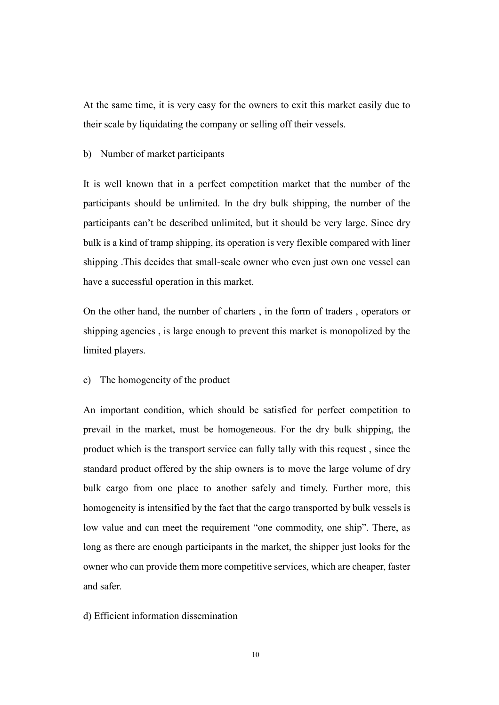At the same time, it is very easy for the owners to exit this market easily due to their scale by liquidating the company or selling off their vessels.

### b) Number of market participants

It is well known that in a perfect competition market that the number of the participants should be unlimited. In the dry bulk shipping, the number of the participants can't be described unlimited, but it should be very large. Since dry bulk is a kind of tramp shipping, its operation is very flexible compared with liner shipping .This decides that small-scale owner who even just own one vessel can have a successful operation in this market.

On the other hand, the number of charters , in the form of traders , operators or shipping agencies , is large enough to prevent this market is monopolized by the limited players.

c) The homogeneity of the product

An important condition, which should be satisfied for perfect competition to prevail in the market, must be homogeneous. For the dry bulk shipping, the product which is the transport service can fully tally with this request , since the standard product offered by the ship owners is to move the large volume of dry bulk cargo from one place to another safely and timely. Further more, this homogeneity is intensified by the fact that the cargo transported by bulk vessels is low value and can meet the requirement "one commodity, one ship". There, as long as there are enough participants in the market, the shipper just looks for the owner who can provide them more competitive services, which are cheaper, faster and safer.

d) Efficient information dissemination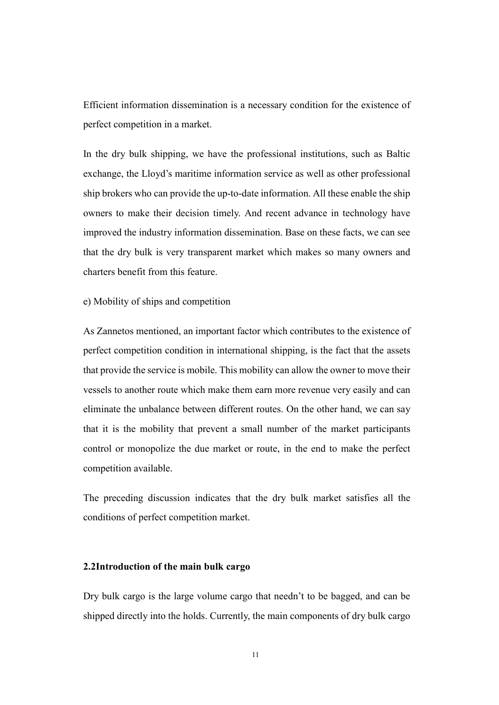Efficient information dissemination is a necessary condition for the existence of perfect competition in a market.

In the dry bulk shipping, we have the professional institutions, such as Baltic exchange, the Lloyd's maritime information service as well as other professional ship brokers who can provide the up-to-date information. All these enable the ship owners to make their decision timely. And recent advance in technology have improved the industry information dissemination. Base on these facts, we can see that the dry bulk is very transparent market which makes so many owners and charters benefit from this feature.

e) Mobility of ships and competition

As Zannetos mentioned, an important factor which contributes to the existence of perfect competition condition in international shipping, is the fact that the assets that provide the service is mobile. This mobility can allow the owner to move their vessels to another route which make them earn more revenue very easily and can eliminate the unbalance between different routes. On the other hand, we can say that it is the mobility that prevent a small number of the market participants control or monopolize the due market or route, in the end to make the perfect competition available.

The preceding discussion indicates that the dry bulk market satisfies all the conditions of perfect competition market.

### 2.2Introduction of the main bulk cargo

Dry bulk cargo is the large volume cargo that needn't to be bagged, and can be shipped directly into the holds. Currently, the main components of dry bulk cargo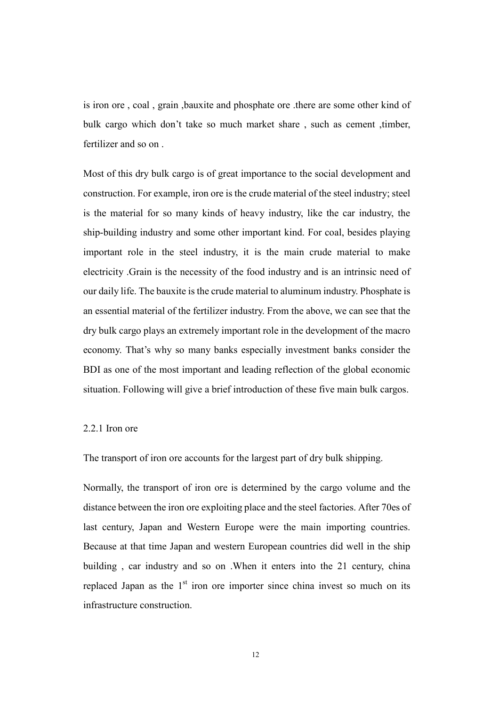is iron ore , coal , grain ,bauxite and phosphate ore .there are some other kind of bulk cargo which don't take so much market share , such as cement ,timber, fertilizer and so on .

Most of this dry bulk cargo is of great importance to the social development and construction. For example, iron ore is the crude material of the steel industry; steel is the material for so many kinds of heavy industry, like the car industry, the ship-building industry and some other important kind. For coal, besides playing important role in the steel industry, it is the main crude material to make electricity .Grain is the necessity of the food industry and is an intrinsic need of our daily life. The bauxite is the crude material to aluminum industry. Phosphate is an essential material of the fertilizer industry. From the above, we can see that the dry bulk cargo plays an extremely important role in the development of the macro economy. That's why so many banks especially investment banks consider the BDI as one of the most important and leading reflection of the global economic situation. Following will give a brief introduction of these five main bulk cargos.

#### 2.2.1 Iron ore

The transport of iron ore accounts for the largest part of dry bulk shipping.

Normally, the transport of iron ore is determined by the cargo volume and the distance between the iron ore exploiting place and the steel factories. After 70es of last century, Japan and Western Europe were the main importing countries. Because at that time Japan and western European countries did well in the ship building , car industry and so on .When it enters into the 21 century, china replaced Japan as the  $1<sup>st</sup>$  iron ore importer since china invest so much on its infrastructure construction.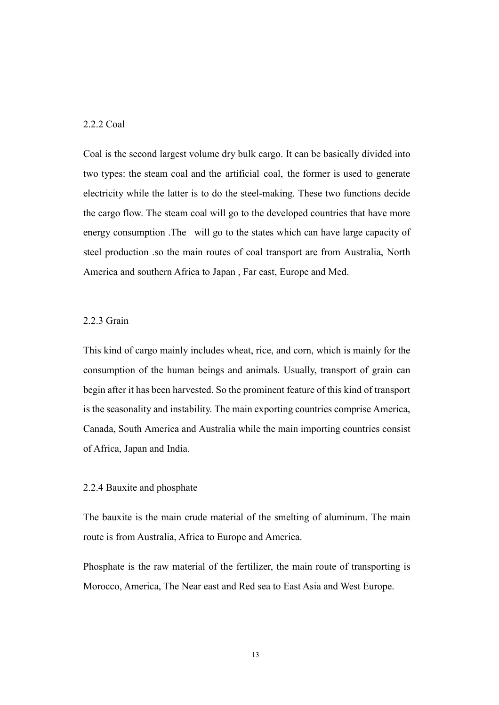### 2.2.2 Coal

Coal is the second largest volume dry bulk cargo. It can be basically divided into two types: the steam coal and the artificial coal, the former is used to generate electricity while the latter is to do the steel-making. These two functions decide the cargo flow. The steam coal will go to the developed countries that have more energy consumption .The will go to the states which can have large capacity of steel production .so the main routes of coal transport are from Australia, North America and southern Africa to Japan , Far east, Europe and Med.

### 2.2.3 Grain

This kind of cargo mainly includes wheat, rice, and corn, which is mainly for the consumption of the human beings and animals. Usually, transport of grain can begin after it has been harvested. So the prominent feature of this kind of transport is the seasonality and instability. The main exporting countries comprise America, Canada, South America and Australia while the main importing countries consist of Africa, Japan and India.

### 2.2.4 Bauxite and phosphate

The bauxite is the main crude material of the smelting of aluminum. The main route is from Australia, Africa to Europe and America.

Phosphate is the raw material of the fertilizer, the main route of transporting is Morocco, America, The Near east and Red sea to East Asia and West Europe.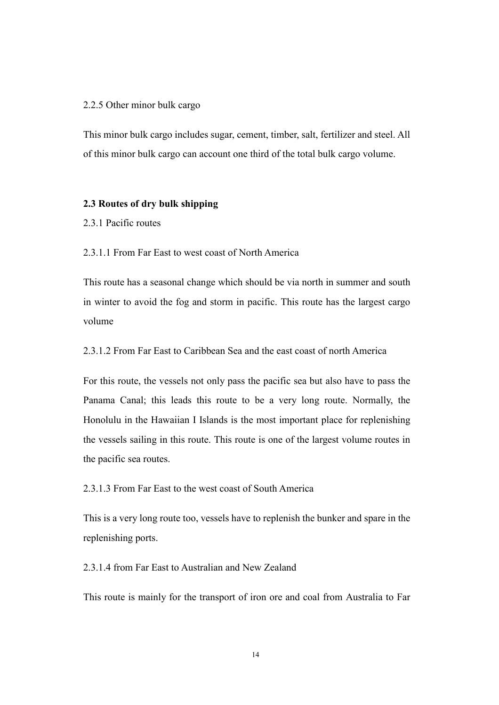### 2.2.5 Other minor bulk cargo

This minor bulk cargo includes sugar, cement, timber, salt, fertilizer and steel. All of this minor bulk cargo can account one third of the total bulk cargo volume.

### 2.3 Routes of dry bulk shipping

2.3.1 Pacific routes

2.3.1.1 From Far East to west coast of North America

This route has a seasonal change which should be via north in summer and south in winter to avoid the fog and storm in pacific. This route has the largest cargo volume

2.3.1.2 From Far East to Caribbean Sea and the east coast of north America

For this route, the vessels not only pass the pacific sea but also have to pass the Panama Canal; this leads this route to be a very long route. Normally, the Honolulu in the Hawaiian I Islands is the most important place for replenishing the vessels sailing in this route. This route is one of the largest volume routes in the pacific sea routes.

2.3.1.3 From Far East to the west coast of South America

This is a very long route too, vessels have to replenish the bunker and spare in the replenishing ports.

2.3.1.4 from Far East to Australian and New Zealand

This route is mainly for the transport of iron ore and coal from Australia to Far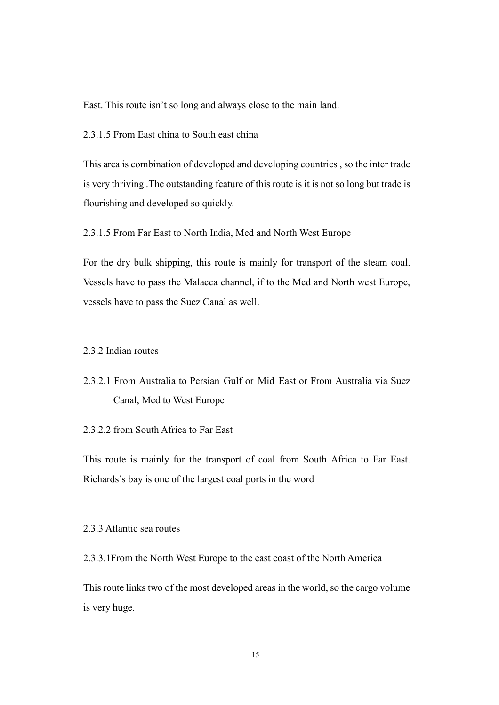East. This route isn't so long and always close to the main land.

2.3.1.5 From East china to South east china

This area is combination of developed and developing countries , so the inter trade is very thriving .The outstanding feature of this route is it is not so long but trade is flourishing and developed so quickly.

2.3.1.5 From Far East to North India, Med and North West Europe

For the dry bulk shipping, this route is mainly for transport of the steam coal. Vessels have to pass the Malacca channel, if to the Med and North west Europe, vessels have to pass the Suez Canal as well.

### 2.3.2 Indian routes

2.3.2.1 From Australia to Persian Gulf or Mid East or From Australia via Suez Canal, Med to West Europe

2.3.2.2 from South Africa to Far East

This route is mainly for the transport of coal from South Africa to Far East. Richards's bay is one of the largest coal ports in the word

### 2.3.3 Atlantic sea routes

2.3.3.1From the North West Europe to the east coast of the North America

This route links two of the most developed areas in the world, so the cargo volume is very huge.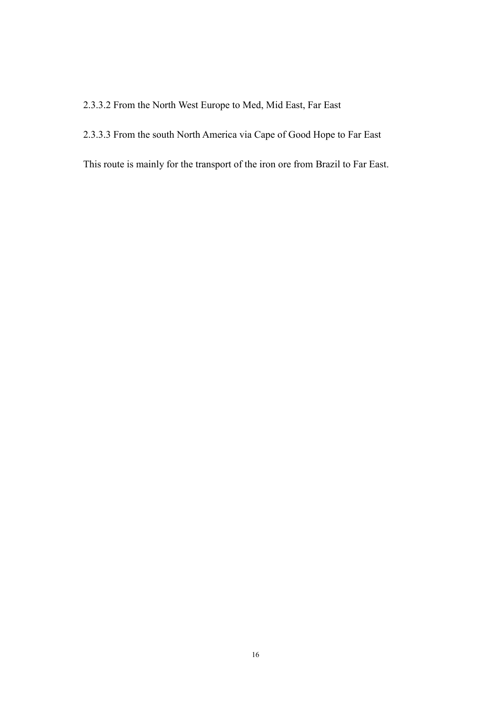### 2.3.3.2 From the North West Europe to Med, Mid East, Far East

### 2.3.3.3 From the south North America via Cape of Good Hope to Far East

This route is mainly for the transport of the iron ore from Brazil to Far East.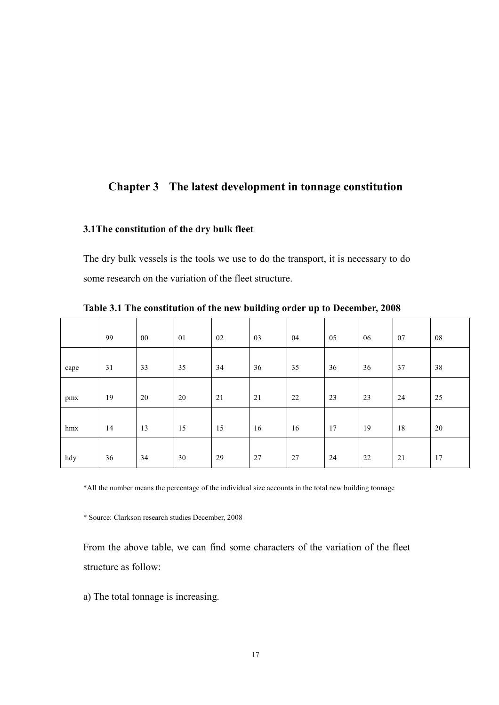### Chapter 3 The latest development in tonnage constitution

### 3.1The constitution of the dry bulk fleet

The dry bulk vessels is the tools we use to do the transport, it is necessary to do some research on the variation of the fleet structure.

|      | 99 | $00\,$ | 01 | 02 | 03     | 04 | 05 | 06     | 07 | 08 |
|------|----|--------|----|----|--------|----|----|--------|----|----|
| cape | 31 | 33     | 35 | 34 | $36\,$ | 35 | 36 | $36\,$ | 37 | 38 |
| pmx  | 19 | 20     | 20 | 21 | 21     | 22 | 23 | 23     | 24 | 25 |
| hmx  | 14 | 13     | 15 | 15 | 16     | 16 | 17 | 19     | 18 | 20 |
| hdy  | 36 | 34     | 30 | 29 | 27     | 27 | 24 | 22     | 21 | 17 |

Table 3.1 The constitution of the new building order up to December, 2008

\*All the number means the percentage of the individual size accounts in the total new building tonnage

\* Source: Clarkson research studies December, 2008

From the above table, we can find some characters of the variation of the fleet structure as follow:

a) The total tonnage is increasing.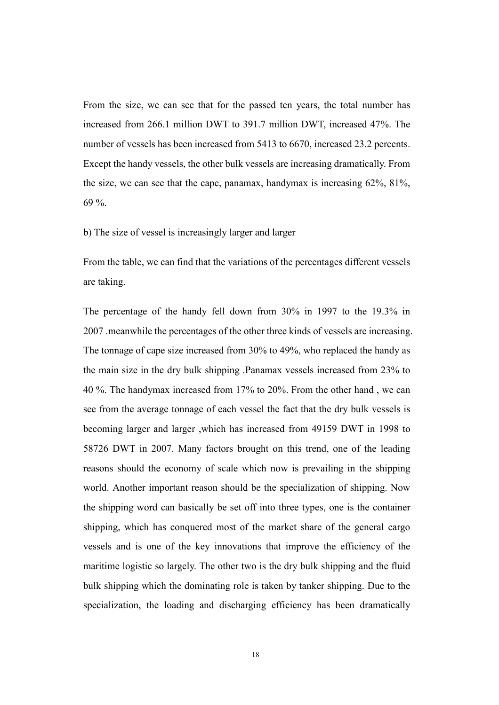From the size, we can see that for the passed ten years, the total number has increased from 266.1 million DWT to 391.7 million DWT, increased 47%. The number of vessels has been increased from 5413 to 6670, increased 23.2 percents. Except the handy vessels, the other bulk vessels are increasing dramatically. From the size, we can see that the cape, panamax, handymax is increasing 62%, 81%, 69 %.

b) The size of vessel is increasingly larger and larger

From the table, we can find that the variations of the percentages different vessels are taking.

The percentage of the handy fell down from 30% in 1997 to the 19.3% in 2007 .meanwhile the percentages of the other three kinds of vessels are increasing. The tonnage of cape size increased from 30% to 49%, who replaced the handy as the main size in the dry bulk shipping .Panamax vessels increased from 23% to 40 %. The handymax increased from 17% to 20%. From the other hand , we can see from the average tonnage of each vessel the fact that the dry bulk vessels is becoming larger and larger ,which has increased from 49159 DWT in 1998 to 58726 DWT in 2007. Many factors brought on this trend, one of the leading reasons should the economy of scale which now is prevailing in the shipping world. Another important reason should be the specialization of shipping. Now the shipping word can basically be set off into three types, one is the container shipping, which has conquered most of the market share of the general cargo vessels and is one of the key innovations that improve the efficiency of the maritime logistic so largely. The other two is the dry bulk shipping and the fluid bulk shipping which the dominating role is taken by tanker shipping. Due to the specialization, the loading and discharging efficiency has been dramatically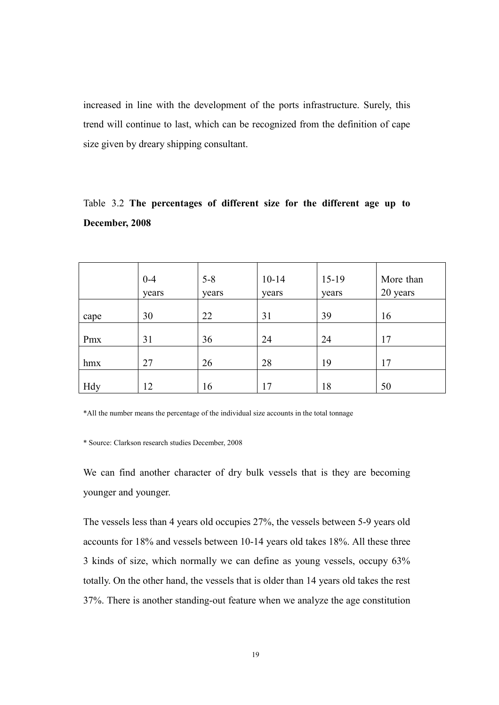increased in line with the development of the ports infrastructure. Surely, this trend will continue to last, which can be recognized from the definition of cape size given by dreary shipping consultant.

### Table 3.2 The percentages of different size for the different age up to December, 2008

|      | $0 - 4$<br>years | $5 - 8$<br>years | $10 - 14$<br>years | $15-19$<br>years | More than<br>20 years |
|------|------------------|------------------|--------------------|------------------|-----------------------|
| cape | 30               | 22               | 31                 | 39               | 16                    |
| Pmx  | 31               | 36               | 24                 | 24               | 17                    |
| hmx  | 27               | 26               | 28                 | 19               | 17                    |
| Hdy  | 12               | 16               | 17                 | 18               | 50                    |

\*All the number means the percentage of the individual size accounts in the total tonnage

\* Source: Clarkson research studies December, 2008

We can find another character of dry bulk vessels that is they are becoming younger and younger.

The vessels less than 4 years old occupies 27%, the vessels between 5-9 years old accounts for 18% and vessels between 10-14 years old takes 18%. All these three 3 kinds of size, which normally we can define as young vessels, occupy 63% totally. On the other hand, the vessels that is older than 14 years old takes the rest 37%. There is another standing-out feature when we analyze the age constitution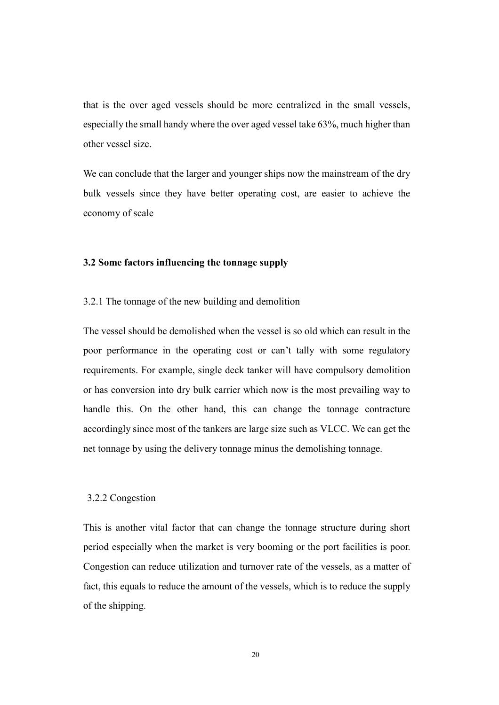that is the over aged vessels should be more centralized in the small vessels, especially the small handy where the over aged vessel take 63%, much higher than other vessel size.

We can conclude that the larger and younger ships now the mainstream of the dry bulk vessels since they have better operating cost, are easier to achieve the economy of scale

### 3.2 Some factors influencing the tonnage supply

#### 3.2.1 The tonnage of the new building and demolition

The vessel should be demolished when the vessel is so old which can result in the poor performance in the operating cost or can't tally with some regulatory requirements. For example, single deck tanker will have compulsory demolition or has conversion into dry bulk carrier which now is the most prevailing way to handle this. On the other hand, this can change the tonnage contracture accordingly since most of the tankers are large size such as VLCC. We can get the net tonnage by using the delivery tonnage minus the demolishing tonnage.

#### 3.2.2 Congestion

This is another vital factor that can change the tonnage structure during short period especially when the market is very booming or the port facilities is poor. Congestion can reduce utilization and turnover rate of the vessels, as a matter of fact, this equals to reduce the amount of the vessels, which is to reduce the supply of the shipping.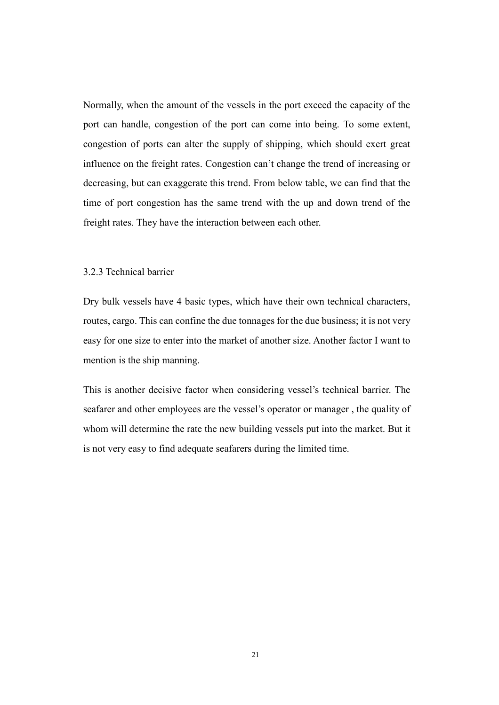Normally, when the amount of the vessels in the port exceed the capacity of the port can handle, congestion of the port can come into being. To some extent, congestion of ports can alter the supply of shipping, which should exert great influence on the freight rates. Congestion can't change the trend of increasing or decreasing, but can exaggerate this trend. From below table, we can find that the time of port congestion has the same trend with the up and down trend of the freight rates. They have the interaction between each other.

### 3.2.3 Technical barrier

Dry bulk vessels have 4 basic types, which have their own technical characters, routes, cargo. This can confine the due tonnages for the due business; it is not very easy for one size to enter into the market of another size. Another factor I want to mention is the ship manning.

This is another decisive factor when considering vessel's technical barrier. The seafarer and other employees are the vessel's operator or manager , the quality of whom will determine the rate the new building vessels put into the market. But it is not very easy to find adequate seafarers during the limited time.

21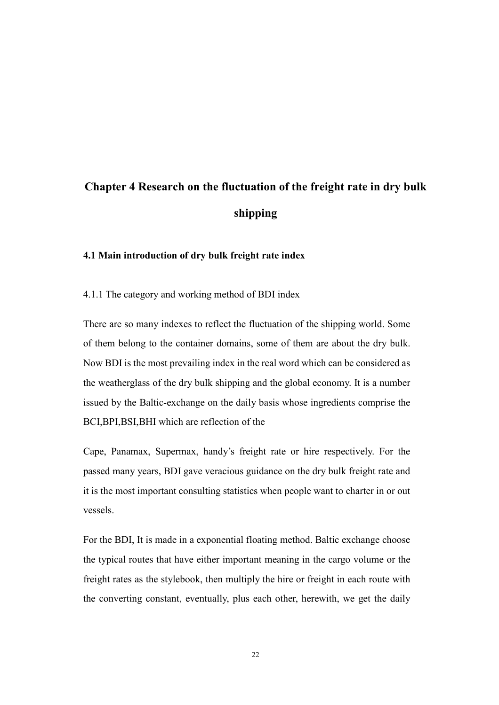# Chapter 4 Research on the fluctuation of the freight rate in dry bulk shipping

### 4.1 Main introduction of dry bulk freight rate index

4.1.1 The category and working method of BDI index

There are so many indexes to reflect the fluctuation of the shipping world. Some of them belong to the container domains, some of them are about the dry bulk. Now BDI is the most prevailing index in the real word which can be considered as the weatherglass of the dry bulk shipping and the global economy. It is a number issued by the Baltic-exchange on the daily basis whose ingredients comprise the BCI,BPI,BSI,BHI which are reflection of the

Cape, Panamax, Supermax, handy's freight rate or hire respectively. For the passed many years, BDI gave veracious guidance on the dry bulk freight rate and it is the most important consulting statistics when people want to charter in or out vessels.

For the BDI, It is made in a exponential floating method. Baltic exchange choose the typical routes that have either important meaning in the cargo volume or the freight rates as the stylebook, then multiply the hire or freight in each route with the converting constant, eventually, plus each other, herewith, we get the daily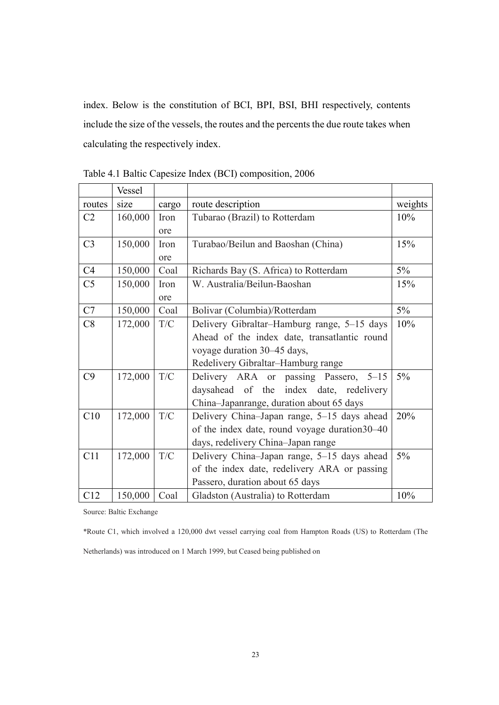index. Below is the constitution of BCI, BPI, BSI, BHI respectively, contents include the size of the vessels, the routes and the percents the due route takes when calculating the respectively index.

|                | Vessel  |       |                                                |         |
|----------------|---------|-------|------------------------------------------------|---------|
| routes         | size    | cargo | route description                              | weights |
| C <sub>2</sub> | 160,000 | Iron  | Tubarao (Brazil) to Rotterdam                  | 10%     |
|                |         | ore   |                                                |         |
| C <sub>3</sub> | 150,000 | Iron  | Turabao/Beilun and Baoshan (China)             | 15%     |
|                |         | ore   |                                                |         |
| C <sub>4</sub> | 150,000 | Coal  | Richards Bay (S. Africa) to Rotterdam          | $5\%$   |
| C <sub>5</sub> | 150,000 | Iron  | W. Australia/Beilun-Baoshan                    | 15%     |
|                |         | ore   |                                                |         |
| C7             | 150,000 | Coal  | Bolivar (Columbia)/Rotterdam                   | $5\%$   |
| C8             | 172,000 | T/C   | Delivery Gibraltar–Hamburg range, 5–15 days    | 10%     |
|                |         |       | Ahead of the index date, transatlantic round   |         |
|                |         |       | voyage duration 30–45 days,                    |         |
|                |         |       | Redelivery Gibraltar-Hamburg range             |         |
| C9             | 172,000 | T/C   | Delivery ARA or passing Passero, 5-15          | $5\%$   |
|                |         |       | daysahead of the index date, redelivery        |         |
|                |         |       | China-Japanrange, duration about 65 days       |         |
| C10            | 172,000 | T/C   | Delivery China-Japan range, 5-15 days ahead    | 20%     |
|                |         |       | of the index date, round voyage duration 30–40 |         |
|                |         |       | days, redelivery China-Japan range             |         |
| C11            | 172,000 | T/C   | Delivery China-Japan range, 5-15 days ahead    | $5\%$   |
|                |         |       | of the index date, redelivery ARA or passing   |         |
|                |         |       | Passero, duration about 65 days                |         |
| C12            | 150,000 | Coal  | Gladston (Australia) to Rotterdam              | 10%     |

Table 4.1 Baltic Capesize Index (BCI) composition, 2006

Source: Baltic Exchange

\*Route C1, which involved a 120,000 dwt vessel carrying coal from Hampton Roads (US) to Rotterdam (The

Netherlands) was introduced on 1 March 1999, but Ceased being published on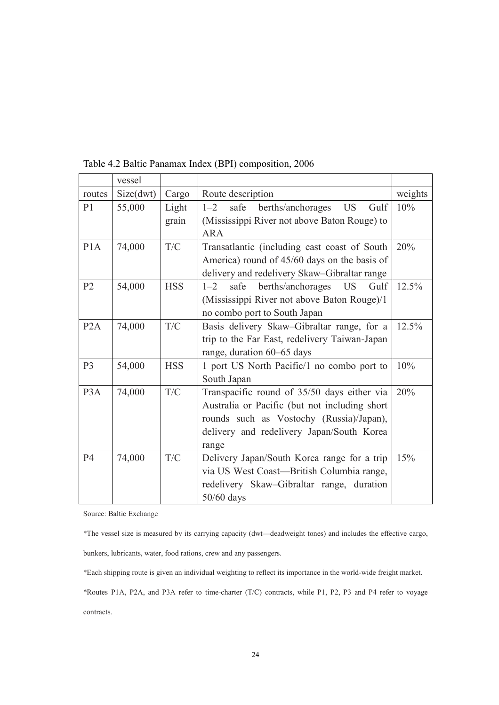|                  | vessel    |            |                                                                 |         |
|------------------|-----------|------------|-----------------------------------------------------------------|---------|
| routes           | Size(dwt) | Cargo      | Route description                                               | weights |
| P <sub>1</sub>   | 55,000    | Light      | $1 - 2$<br>safe<br>berths/anchorages<br><b>US</b><br>Gulf       | 10%     |
|                  |           | grain      | (Mississippi River not above Baton Rouge) to                    |         |
|                  |           |            | <b>ARA</b>                                                      |         |
| P1A              | 74,000    | T/C        | Transatlantic (including east coast of South                    | 20%     |
|                  |           |            | America) round of 45/60 days on the basis of                    |         |
|                  |           |            | delivery and redelivery Skaw-Gibraltar range                    |         |
| P <sub>2</sub>   | 54,000    | <b>HSS</b> | safe<br>berths/anchorages<br>Gulf<br>$1 - 2$<br>US <sub>1</sub> | 12.5%   |
|                  |           |            | (Mississippi River not above Baton Rouge)/1                     |         |
|                  |           |            | no combo port to South Japan                                    |         |
| P2A              | 74,000    | T/C        | Basis delivery Skaw-Gibraltar range, for a                      | 12.5%   |
|                  |           |            | trip to the Far East, redelivery Taiwan-Japan                   |         |
|                  |           |            | range, duration 60–65 days                                      |         |
| P <sub>3</sub>   | 54,000    | <b>HSS</b> | 1 port US North Pacific/1 no combo port to                      | 10%     |
|                  |           |            | South Japan                                                     |         |
| P <sub>3</sub> A | 74,000    | T/C        | Transpacific round of 35/50 days either via                     | 20%     |
|                  |           |            | Australia or Pacific (but not including short                   |         |
|                  |           |            | rounds such as Vostochy (Russia)/Japan),                        |         |
|                  |           |            | delivery and redelivery Japan/South Korea                       |         |
|                  |           |            | range                                                           |         |
| <b>P4</b>        | 74,000    | T/C        | Delivery Japan/South Korea range for a trip                     | 15%     |
|                  |           |            | via US West Coast-British Columbia range,                       |         |
|                  |           |            | redelivery Skaw-Gibraltar range, duration                       |         |
|                  |           |            | 50/60 days                                                      |         |

Table 4.2 Baltic Panamax Index (BPI) composition, 2006

Source: Baltic Exchange

\*The vessel size is measured by its carrying capacity (dwt—deadweight tones) and includes the effective cargo,

bunkers, lubricants, water, food rations, crew and any passengers.

\*Each shipping route is given an individual weighting to reflect its importance in the world-wide freight market.

\*Routes P1A, P2A, and P3A refer to time-charter (T/C) contracts, while P1, P2, P3 and P4 refer to voyage contracts.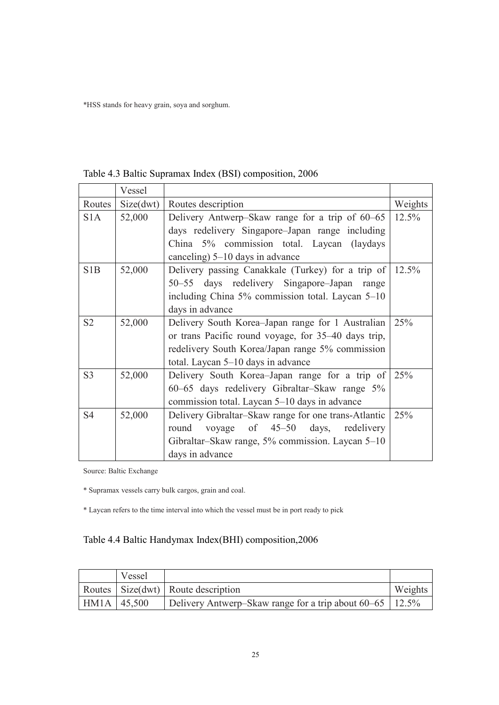\*HSS stands for heavy grain, soya and sorghum.

|                  | Vessel    |                                                              |         |
|------------------|-----------|--------------------------------------------------------------|---------|
| Routes           | Size(dwt) | Routes description                                           | Weights |
| S <sub>1</sub> A | 52,000    | Delivery Antwerp–Skaw range for a trip of 60–65              | 12.5%   |
|                  |           | days redelivery Singapore–Japan range including              |         |
|                  |           | China 5% commission total. Laycan (laydays                   |         |
|                  |           | canceling) 5–10 days in advance                              |         |
| S <sub>1</sub> B | 52,000    | Delivery passing Canakkale (Turkey) for a trip of $ 12.5\% $ |         |
|                  |           | 50–55 days redelivery Singapore–Japan<br>range               |         |
|                  |           | including China 5% commission total. Laycan 5–10             |         |
|                  |           | days in advance                                              |         |
| S <sub>2</sub>   | 52,000    | Delivery South Korea–Japan range for 1 Australian            | 25%     |
|                  |           | or trans Pacific round voyage, for 35–40 days trip,          |         |
|                  |           | redelivery South Korea/Japan range 5% commission             |         |
|                  |           | total. Laycan 5–10 days in advance                           |         |
| S <sub>3</sub>   | 52,000    | Delivery South Korea–Japan range for a trip of               | 25%     |
|                  |           | 60–65 days redelivery Gibraltar–Skaw range 5%                |         |
|                  |           | commission total. Laycan 5–10 days in advance                |         |
| S <sub>4</sub>   | 52,000    | Delivery Gibraltar–Skaw range for one trans-Atlantic         | 25%     |
|                  |           | voyage of 45–50 days,<br>round<br>redelivery                 |         |
|                  |           | Gibraltar-Skaw range, 5% commission. Laycan 5-10             |         |
|                  |           | days in advance                                              |         |

Table 4.3 Baltic Supramax Index (BSI) composition, 2006

Source: Baltic Exchange

\* Supramax vessels carry bulk cargos, grain and coal.

\* Laycan refers to the time interval into which the vessel must be in port ready to pick

### Table 4.4 Baltic Handymax Index(BHI) composition,2006

|             | Vessel |                                                            |         |
|-------------|--------|------------------------------------------------------------|---------|
|             |        | Routes   Size(dwt)   Route description                     | Weights |
| HM1A 45,500 |        | Delivery Antwerp–Skaw range for a trip about 60–65   12.5% |         |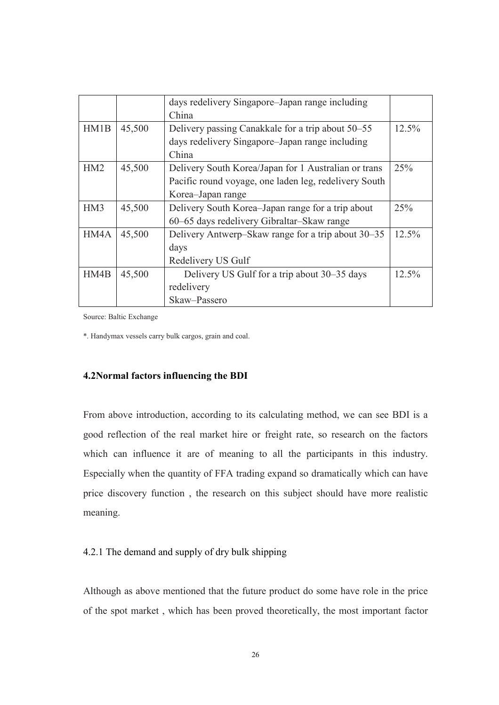|                 |        | days redelivery Singapore–Japan range including       |          |
|-----------------|--------|-------------------------------------------------------|----------|
|                 |        | China                                                 |          |
| HM1B            | 45,500 | Delivery passing Canakkale for a trip about 50–55     | 12.5%    |
|                 |        | days redelivery Singapore–Japan range including       |          |
|                 |        | China                                                 |          |
| HM2             | 45,500 | Delivery South Korea/Japan for 1 Australian or trans  | 25%      |
|                 |        | Pacific round voyage, one laden leg, redelivery South |          |
|                 |        | Korea-Japan range                                     |          |
| HM <sub>3</sub> | 45,500 | Delivery South Korea–Japan range for a trip about     | 25%      |
|                 |        | 60–65 days redelivery Gibraltar–Skaw range            |          |
| HM4A            | 45,500 | Delivery Antwerp–Skaw range for a trip about 30–35    | $12.5\%$ |
|                 |        | days                                                  |          |
|                 |        | Redelivery US Gulf                                    |          |
| HM4B            | 45,500 | Delivery US Gulf for a trip about 30–35 days          | 12.5%    |
|                 |        | redelivery                                            |          |
|                 |        | Skaw-Passero                                          |          |

Source: Baltic Exchange

\*. Handymax vessels carry bulk cargos, grain and coal.

### 4.2
ormal factors influencing the BDI

From above introduction, according to its calculating method, we can see BDI is a good reflection of the real market hire or freight rate, so research on the factors which can influence it are of meaning to all the participants in this industry. Especially when the quantity of FFA trading expand so dramatically which can have price discovery function , the research on this subject should have more realistic meaning.

### 4.2.1 The demand and supply of dry bulk shipping

Although as above mentioned that the future product do some have role in the price of the spot market , which has been proved theoretically, the most important factor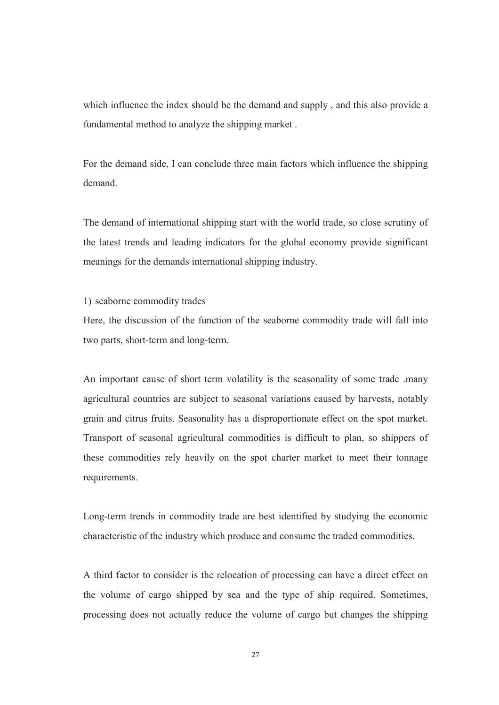which influence the index should be the demand and supply , and this also provide a fundamental method to analyze the shipping market .

For the demand side, I can conclude three main factors which influence the shipping demand.

The demand of international shipping start with the world trade, so close scrutiny of the latest trends and leading indicators for the global economy provide significant meanings for the demands international shipping industry.

1) seaborne commodity trades

Here, the discussion of the function of the seaborne commodity trade will fall into two parts, short-term and long-term.

An important cause of short term volatility is the seasonality of some trade .many agricultural countries are subject to seasonal variations caused by harvests, notably grain and citrus fruits. Seasonality has a disproportionate effect on the spot market. Transport of seasonal agricultural commodities is difficult to plan, so shippers of these commodities rely heavily on the spot charter market to meet their tonnage requirements.

Long-term trends in commodity trade are best identified by studying the economic characteristic of the industry which produce and consume the traded commodities.

A third factor to consider is the relocation of processing can have a direct effect on the volume of cargo shipped by sea and the type of ship required. Sometimes, processing does not actually reduce the volume of cargo but changes the shipping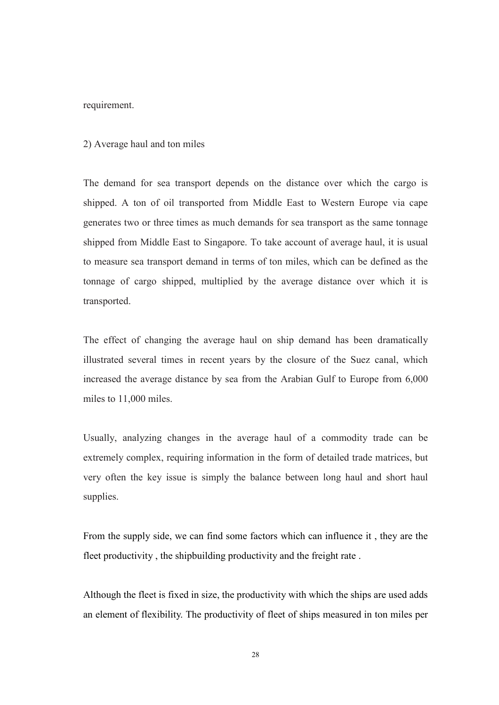### requirement.

#### 2) Average haul and ton miles

The demand for sea transport depends on the distance over which the cargo is shipped. A ton of oil transported from Middle East to Western Europe via cape generates two or three times as much demands for sea transport as the same tonnage shipped from Middle East to Singapore. To take account of average haul, it is usual to measure sea transport demand in terms of ton miles, which can be defined as the tonnage of cargo shipped, multiplied by the average distance over which it is transported.

The effect of changing the average haul on ship demand has been dramatically illustrated several times in recent years by the closure of the Suez canal, which increased the average distance by sea from the Arabian Gulf to Europe from 6,000 miles to 11,000 miles.

Usually, analyzing changes in the average haul of a commodity trade can be extremely complex, requiring information in the form of detailed trade matrices, but very often the key issue is simply the balance between long haul and short haul supplies.

From the supply side, we can find some factors which can influence it , they are the fleet productivity , the shipbuilding productivity and the freight rate .

Although the fleet is fixed in size, the productivity with which the ships are used adds an element of flexibility. The productivity of fleet of ships measured in ton miles per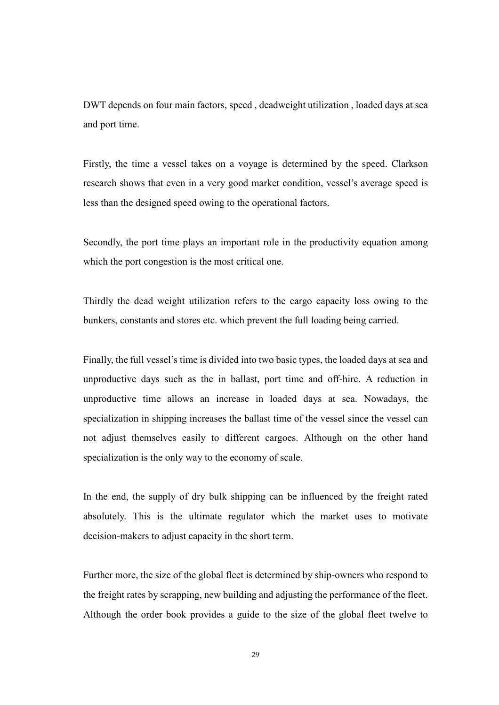DWT depends on four main factors, speed , deadweight utilization , loaded days at sea and port time.

Firstly, the time a vessel takes on a voyage is determined by the speed. Clarkson research shows that even in a very good market condition, vessel's average speed is less than the designed speed owing to the operational factors.

Secondly, the port time plays an important role in the productivity equation among which the port congestion is the most critical one.

Thirdly the dead weight utilization refers to the cargo capacity loss owing to the bunkers, constants and stores etc. which prevent the full loading being carried.

Finally, the full vessel's time is divided into two basic types, the loaded days at sea and unproductive days such as the in ballast, port time and off-hire. A reduction in unproductive time allows an increase in loaded days at sea. Nowadays, the specialization in shipping increases the ballast time of the vessel since the vessel can not adjust themselves easily to different cargoes. Although on the other hand specialization is the only way to the economy of scale.

In the end, the supply of dry bulk shipping can be influenced by the freight rated absolutely. This is the ultimate regulator which the market uses to motivate decision-makers to adjust capacity in the short term.

Further more, the size of the global fleet is determined by ship-owners who respond to the freight rates by scrapping, new building and adjusting the performance of the fleet. Although the order book provides a guide to the size of the global fleet twelve to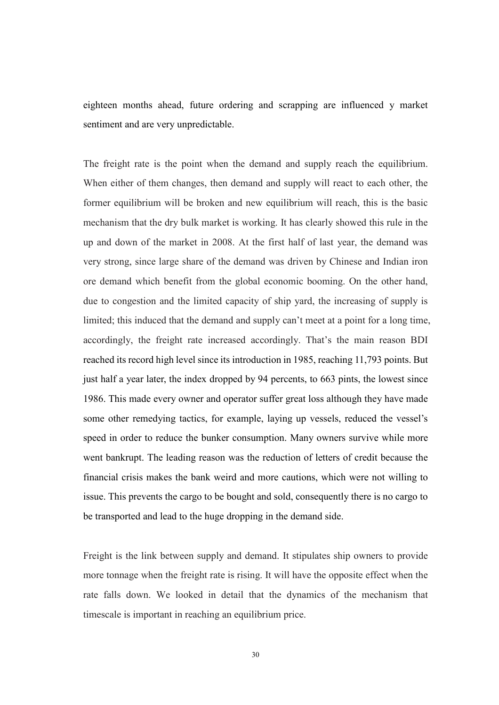eighteen months ahead, future ordering and scrapping are influenced y market sentiment and are very unpredictable.

The freight rate is the point when the demand and supply reach the equilibrium. When either of them changes, then demand and supply will react to each other, the former equilibrium will be broken and new equilibrium will reach, this is the basic mechanism that the dry bulk market is working. It has clearly showed this rule in the up and down of the market in 2008. At the first half of last year, the demand was very strong, since large share of the demand was driven by Chinese and Indian iron ore demand which benefit from the global economic booming. On the other hand, due to congestion and the limited capacity of ship yard, the increasing of supply is limited; this induced that the demand and supply can't meet at a point for a long time, accordingly, the freight rate increased accordingly. That's the main reason BDI reached its record high level since its introduction in 1985, reaching 11,793 points. But just half a year later, the index dropped by 94 percents, to 663 pints, the lowest since 1986. This made every owner and operator suffer great loss although they have made some other remedying tactics, for example, laying up vessels, reduced the vessel's speed in order to reduce the bunker consumption. Many owners survive while more went bankrupt. The leading reason was the reduction of letters of credit because the financial crisis makes the bank weird and more cautions, which were not willing to issue. This prevents the cargo to be bought and sold, consequently there is no cargo to be transported and lead to the huge dropping in the demand side.

Freight is the link between supply and demand. It stipulates ship owners to provide more tonnage when the freight rate is rising. It will have the opposite effect when the rate falls down. We looked in detail that the dynamics of the mechanism that timescale is important in reaching an equilibrium price.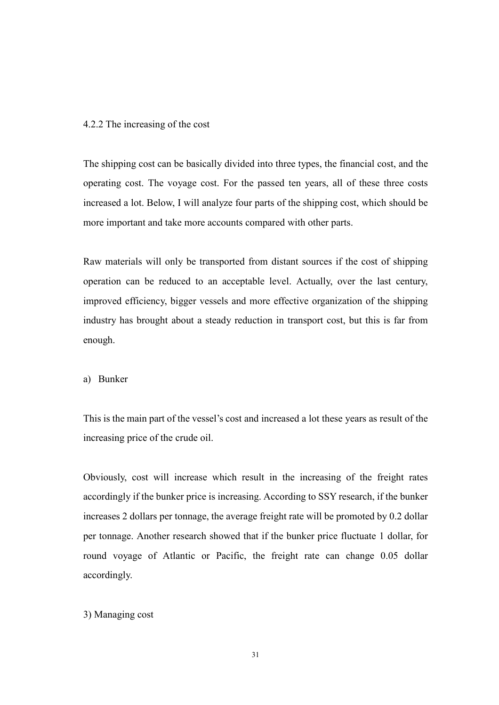#### 4.2.2 The increasing of the cost

The shipping cost can be basically divided into three types, the financial cost, and the operating cost. The voyage cost. For the passed ten years, all of these three costs increased a lot. Below, I will analyze four parts of the shipping cost, which should be more important and take more accounts compared with other parts.

Raw materials will only be transported from distant sources if the cost of shipping operation can be reduced to an acceptable level. Actually, over the last century, improved efficiency, bigger vessels and more effective organization of the shipping industry has brought about a steady reduction in transport cost, but this is far from enough.

a) Bunker

This is the main part of the vessel's cost and increased a lot these years as result of the increasing price of the crude oil.

Obviously, cost will increase which result in the increasing of the freight rates accordingly if the bunker price is increasing. According to SSY research, if the bunker increases 2 dollars per tonnage, the average freight rate will be promoted by 0.2 dollar per tonnage. Another research showed that if the bunker price fluctuate 1 dollar, for round voyage of Atlantic or Pacific, the freight rate can change 0.05 dollar accordingly.

### 3) Managing cost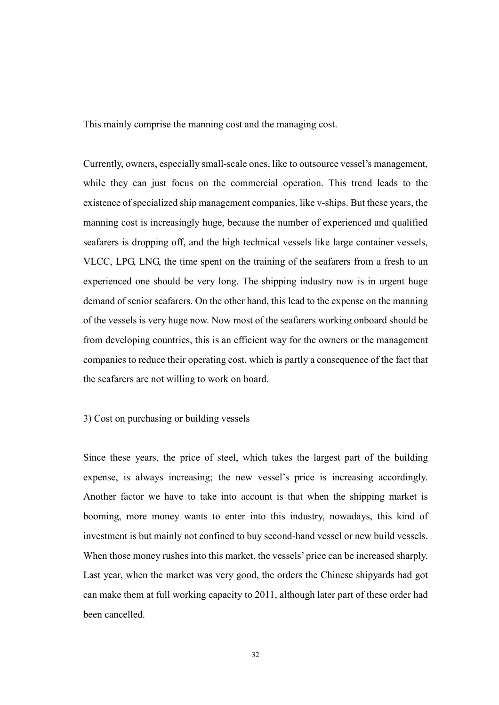This mainly comprise the manning cost and the managing cost.

Currently, owners, especially small-scale ones, like to outsource vessel's management, while they can just focus on the commercial operation. This trend leads to the existence of specialized ship management companies, like v-ships. But these years, the manning cost is increasingly huge, because the number of experienced and qualified seafarers is dropping off, and the high technical vessels like large container vessels, VLCC, LPG, LNG, the time spent on the training of the seafarers from a fresh to an experienced one should be very long. The shipping industry now is in urgent huge demand of senior seafarers. On the other hand, this lead to the expense on the manning of the vessels is very huge now. Now most of the seafarers working onboard should be from developing countries, this is an efficient way for the owners or the management companies to reduce their operating cost, which is partly a consequence of the fact that the seafarers are not willing to work on board.

### 3) Cost on purchasing or building vessels

Since these years, the price of steel, which takes the largest part of the building expense, is always increasing; the new vessel's price is increasing accordingly. Another factor we have to take into account is that when the shipping market is booming, more money wants to enter into this industry, nowadays, this kind of investment is but mainly not confined to buy second-hand vessel or new build vessels. When those money rushes into this market, the vessels' price can be increased sharply. Last year, when the market was very good, the orders the Chinese shipyards had got can make them at full working capacity to 2011, although later part of these order had been cancelled.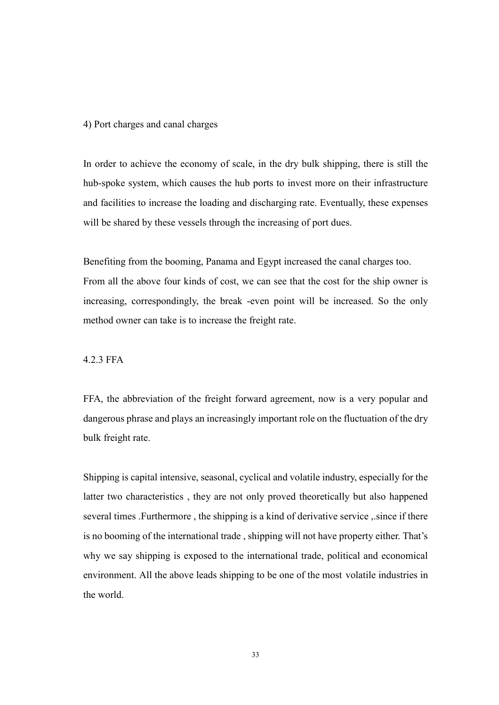#### 4) Port charges and canal charges

In order to achieve the economy of scale, in the dry bulk shipping, there is still the hub-spoke system, which causes the hub ports to invest more on their infrastructure and facilities to increase the loading and discharging rate. Eventually, these expenses will be shared by these vessels through the increasing of port dues.

Benefiting from the booming, Panama and Egypt increased the canal charges too. From all the above four kinds of cost, we can see that the cost for the ship owner is increasing, correspondingly, the break -even point will be increased. So the only method owner can take is to increase the freight rate.

4.2.3 FFA

FFA, the abbreviation of the freight forward agreement, now is a very popular and dangerous phrase and plays an increasingly important role on the fluctuation of the dry bulk freight rate.

Shipping is capital intensive, seasonal, cyclical and volatile industry, especially for the latter two characteristics , they are not only proved theoretically but also happened several times .Furthermore , the shipping is a kind of derivative service ,.since if there is no booming of the international trade , shipping will not have property either. That's why we say shipping is exposed to the international trade, political and economical environment. All the above leads shipping to be one of the most volatile industries in the world.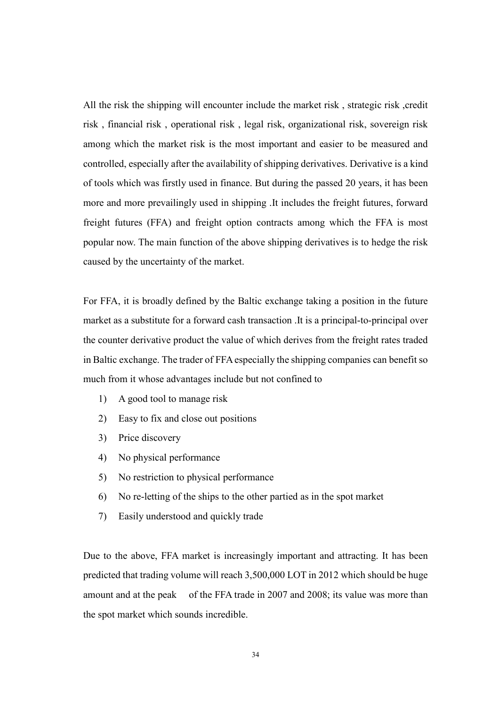All the risk the shipping will encounter include the market risk, strategic risk, credit risk , financial risk , operational risk , legal risk, organizational risk, sovereign risk among which the market risk is the most important and easier to be measured and controlled, especially after the availability of shipping derivatives. Derivative is a kind of tools which was firstly used in finance. But during the passed 20 years, it has been more and more prevailingly used in shipping .It includes the freight futures, forward freight futures (FFA) and freight option contracts among which the FFA is most popular now. The main function of the above shipping derivatives is to hedge the risk caused by the uncertainty of the market.

For FFA, it is broadly defined by the Baltic exchange taking a position in the future market as a substitute for a forward cash transaction .It is a principal-to-principal over the counter derivative product the value of which derives from the freight rates traded in Baltic exchange. The trader of FFA especially the shipping companies can benefit so much from it whose advantages include but not confined to

- 1) A good tool to manage risk
- 2) Easy to fix and close out positions
- 3) Price discovery
- 4) No physical performance
- 5) No restriction to physical performance
- 6) No re-letting of the ships to the other partied as in the spot market
- 7) Easily understood and quickly trade

Due to the above, FFA market is increasingly important and attracting. It has been predicted that trading volume will reach 3,500,000 LOT in 2012 which should be huge amount and at the peak of the FFA trade in 2007 and 2008; its value was more than the spot market which sounds incredible.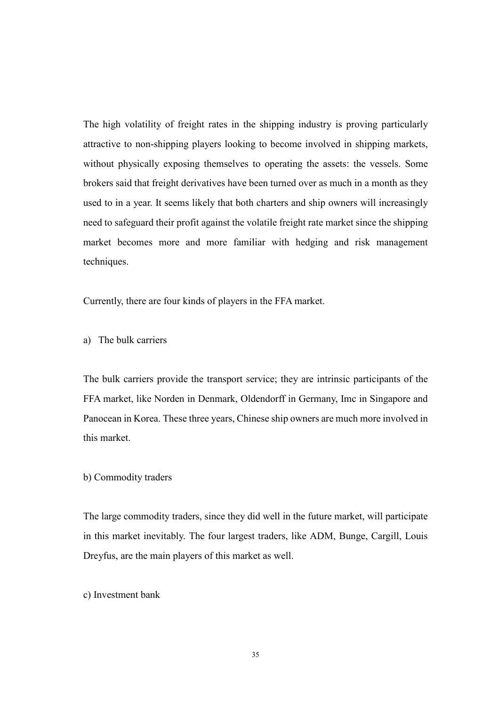The high volatility of freight rates in the shipping industry is proving particularly attractive to non-shipping players looking to become involved in shipping markets, without physically exposing themselves to operating the assets: the vessels. Some brokers said that freight derivatives have been turned over as much in a month as they used to in a year. It seems likely that both charters and ship owners will increasingly need to safeguard their profit against the volatile freight rate market since the shipping market becomes more and more familiar with hedging and risk management techniques.

Currently, there are four kinds of players in the FFA market.

a) The bulk carriers

The bulk carriers provide the transport service; they are intrinsic participants of the FFA market, like Norden in Denmark, Oldendorff in Germany, Imc in Singapore and Panocean in Korea. These three years, Chinese ship owners are much more involved in this market.

#### b) Commodity traders

The large commodity traders, since they did well in the future market, will participate in this market inevitably. The four largest traders, like ADM, Bunge, Cargill, Louis Dreyfus, are the main players of this market as well.

c) Investment bank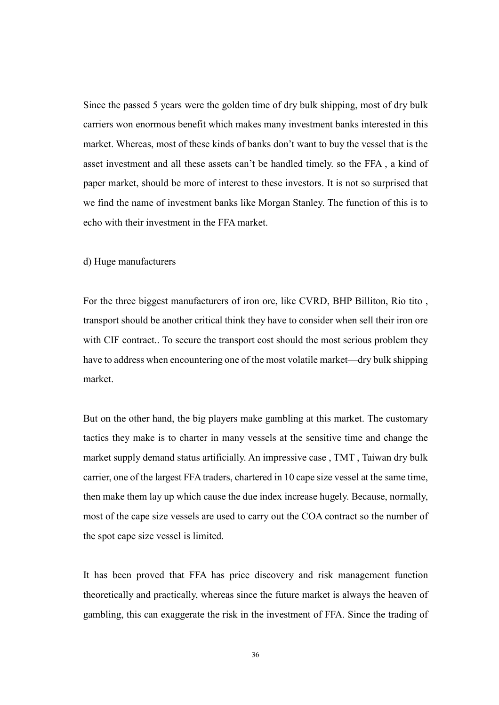Since the passed 5 years were the golden time of dry bulk shipping, most of dry bulk carriers won enormous benefit which makes many investment banks interested in this market. Whereas, most of these kinds of banks don't want to buy the vessel that is the asset investment and all these assets can't be handled timely. so the FFA , a kind of paper market, should be more of interest to these investors. It is not so surprised that we find the name of investment banks like Morgan Stanley. The function of this is to echo with their investment in the FFA market.

### d) Huge manufacturers

For the three biggest manufacturers of iron ore, like CVRD, BHP Billiton, Rio tito , transport should be another critical think they have to consider when sell their iron ore with CIF contract.. To secure the transport cost should the most serious problem they have to address when encountering one of the most volatile market—dry bulk shipping market.

But on the other hand, the big players make gambling at this market. The customary tactics they make is to charter in many vessels at the sensitive time and change the market supply demand status artificially. An impressive case , TMT , Taiwan dry bulk carrier, one of the largest FFA traders, chartered in 10 cape size vessel at the same time, then make them lay up which cause the due index increase hugely. Because, normally, most of the cape size vessels are used to carry out the COA contract so the number of the spot cape size vessel is limited.

It has been proved that FFA has price discovery and risk management function theoretically and practically, whereas since the future market is always the heaven of gambling, this can exaggerate the risk in the investment of FFA. Since the trading of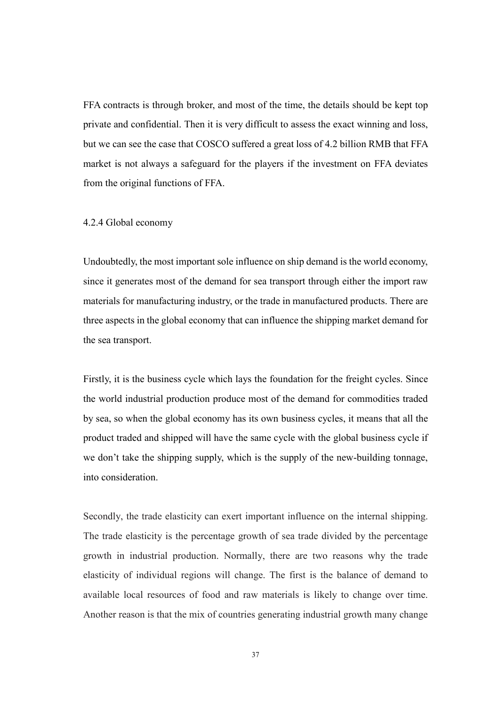FFA contracts is through broker, and most of the time, the details should be kept top private and confidential. Then it is very difficult to assess the exact winning and loss, but we can see the case that COSCO suffered a great loss of 4.2 billion RMB that FFA market is not always a safeguard for the players if the investment on FFA deviates from the original functions of FFA.

#### 4.2.4 Global economy

Undoubtedly, the most important sole influence on ship demand is the world economy, since it generates most of the demand for sea transport through either the import raw materials for manufacturing industry, or the trade in manufactured products. There are three aspects in the global economy that can influence the shipping market demand for the sea transport.

Firstly, it is the business cycle which lays the foundation for the freight cycles. Since the world industrial production produce most of the demand for commodities traded by sea, so when the global economy has its own business cycles, it means that all the product traded and shipped will have the same cycle with the global business cycle if we don't take the shipping supply, which is the supply of the new-building tonnage, into consideration.

Secondly, the trade elasticity can exert important influence on the internal shipping. The trade elasticity is the percentage growth of sea trade divided by the percentage growth in industrial production. Normally, there are two reasons why the trade elasticity of individual regions will change. The first is the balance of demand to available local resources of food and raw materials is likely to change over time. Another reason is that the mix of countries generating industrial growth many change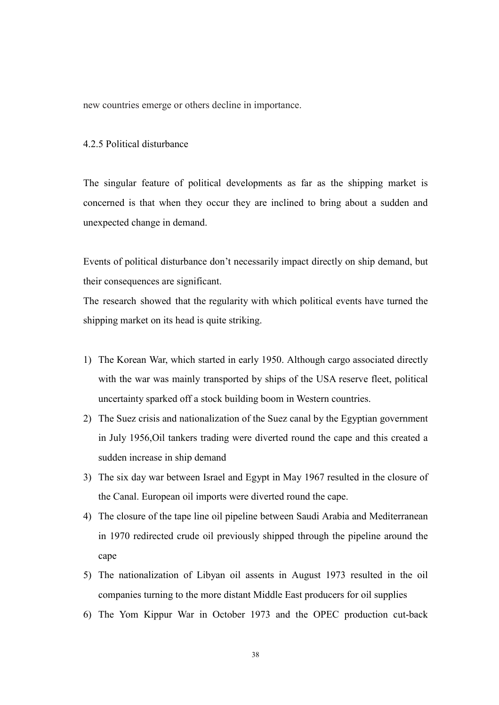new countries emerge or others decline in importance.

### 4.2.5 Political disturbance

The singular feature of political developments as far as the shipping market is concerned is that when they occur they are inclined to bring about a sudden and unexpected change in demand.

Events of political disturbance don't necessarily impact directly on ship demand, but their consequences are significant.

The research showed that the regularity with which political events have turned the shipping market on its head is quite striking.

- 1) The Korean War, which started in early 1950. Although cargo associated directly with the war was mainly transported by ships of the USA reserve fleet, political uncertainty sparked off a stock building boom in Western countries.
- 2) The Suez crisis and nationalization of the Suez canal by the Egyptian government in July 1956,Oil tankers trading were diverted round the cape and this created a sudden increase in ship demand
- 3) The six day war between Israel and Egypt in May 1967 resulted in the closure of the Canal. European oil imports were diverted round the cape.
- 4) The closure of the tape line oil pipeline between Saudi Arabia and Mediterranean in 1970 redirected crude oil previously shipped through the pipeline around the cape
- 5) The nationalization of Libyan oil assents in August 1973 resulted in the oil companies turning to the more distant Middle East producers for oil supplies
- 6) The Yom Kippur War in October 1973 and the OPEC production cut-back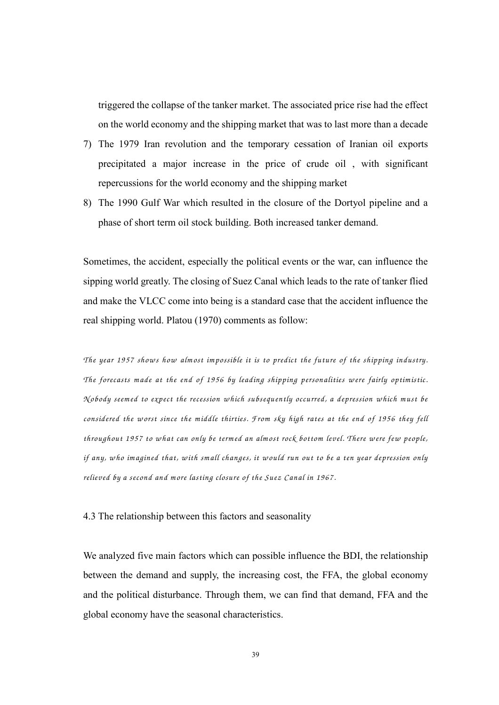triggered the collapse of the tanker market. The associated price rise had the effect on the world economy and the shipping market that was to last more than a decade

- 7) The 1979 Iran revolution and the temporary cessation of Iranian oil exports precipitated a major increase in the price of crude oil , with significant repercussions for the world economy and the shipping market
- 8) The 1990 Gulf War which resulted in the closure of the Dortyol pipeline and a phase of short term oil stock building. Both increased tanker demand.

Sometimes, the accident, especially the political events or the war, can influence the sipping world greatly. The closing of Suez Canal which leads to the rate of tanker flied and make the VLCC come into being is a standard case that the accident influence the real shipping world. Platou (1970) comments as follow:

The year 1957 shows how almost impossible it is to predict the future of the shipping industry. *The forecasts m ade at the end of 1956 by leading shipping personalities w ere fairly optim istic. N obody seem ed to expect the recession w hich subsequently occurred, a depression w hich m ust be considered the w orst since the m iddle thirties. F rom sky high rates at the end of 1956 they fell throughout 1957 to w hat can only be term ed an alm ost rock bottom level. There w ere few people, if any, w ho im agined that, w ith sm all changes, it would run out to be a ten year depression only*  relieved by a second and more lasting closure of the Suez Canal in 1967.

4.3 The relationship between this factors and seasonality

We analyzed five main factors which can possible influence the BDI, the relationship between the demand and supply, the increasing cost, the FFA, the global economy and the political disturbance. Through them, we can find that demand, FFA and the global economy have the seasonal characteristics.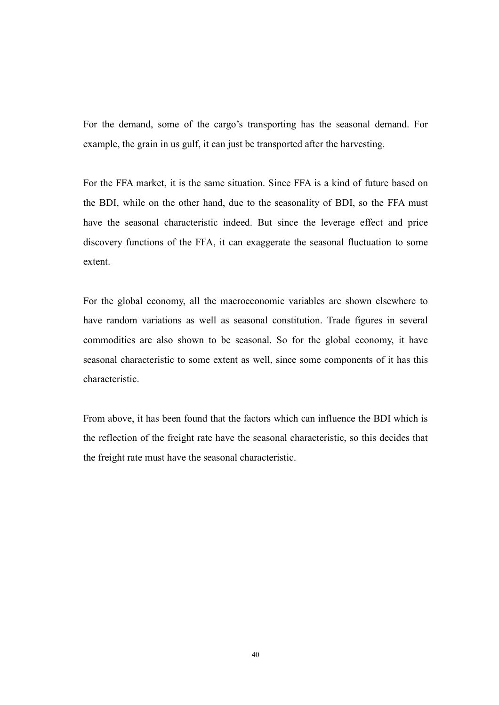For the demand, some of the cargo's transporting has the seasonal demand. For example, the grain in us gulf, it can just be transported after the harvesting.

For the FFA market, it is the same situation. Since FFA is a kind of future based on the BDI, while on the other hand, due to the seasonality of BDI, so the FFA must have the seasonal characteristic indeed. But since the leverage effect and price discovery functions of the FFA, it can exaggerate the seasonal fluctuation to some extent.

For the global economy, all the macroeconomic variables are shown elsewhere to have random variations as well as seasonal constitution. Trade figures in several commodities are also shown to be seasonal. So for the global economy, it have seasonal characteristic to some extent as well, since some components of it has this characteristic.

From above, it has been found that the factors which can influence the BDI which is the reflection of the freight rate have the seasonal characteristic, so this decides that the freight rate must have the seasonal characteristic.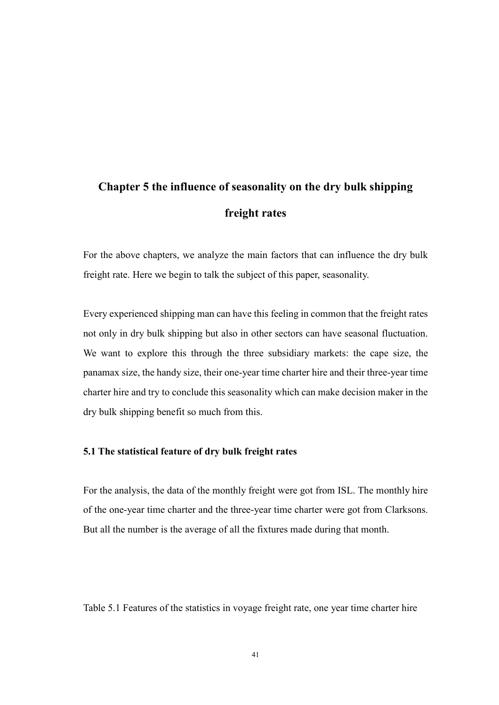# Chapter 5 the influence of seasonality on the dry bulk shipping freight rates

For the above chapters, we analyze the main factors that can influence the dry bulk freight rate. Here we begin to talk the subject of this paper, seasonality.

Every experienced shipping man can have this feeling in common that the freight rates not only in dry bulk shipping but also in other sectors can have seasonal fluctuation. We want to explore this through the three subsidiary markets: the cape size, the panamax size, the handy size, their one-year time charter hire and their three-year time charter hire and try to conclude this seasonality which can make decision maker in the dry bulk shipping benefit so much from this.

### 5.1 The statistical feature of dry bulk freight rates

For the analysis, the data of the monthly freight were got from ISL. The monthly hire of the one-year time charter and the three-year time charter were got from Clarksons. But all the number is the average of all the fixtures made during that month.

Table 5.1 Features of the statistics in voyage freight rate, one year time charter hire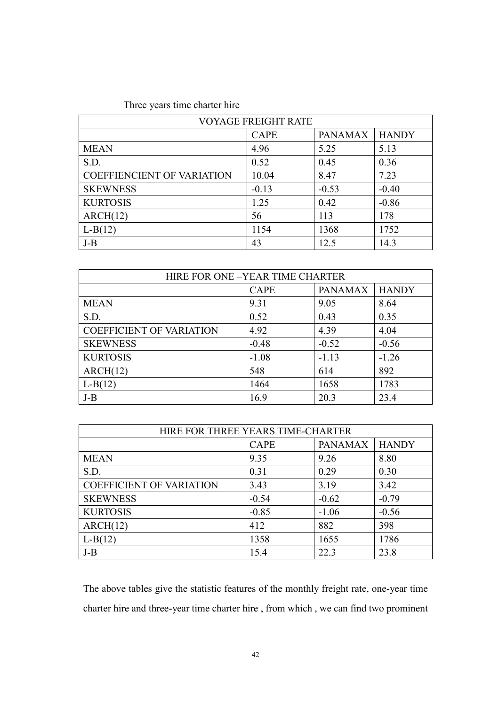### Three years time charter hire

| <b>VOYAGE FREIGHT RATE</b>        |             |                |              |  |
|-----------------------------------|-------------|----------------|--------------|--|
|                                   | <b>CAPE</b> | <b>PANAMAX</b> | <b>HANDY</b> |  |
| <b>MEAN</b>                       | 4.96        | 5.25           | 5.13         |  |
| S.D.                              | 0.52        | 0.45           | 0.36         |  |
| <b>COEFFIENCIENT OF VARIATION</b> | 10.04       | 8.47           | 7.23         |  |
| <b>SKEWNESS</b>                   | $-0.13$     | $-0.53$        | $-0.40$      |  |
| <b>KURTOSIS</b>                   | 1.25        | 0.42           | $-0.86$      |  |
| ARCH(12)                          | 56          | 113            | 178          |  |
| $L-B(12)$                         | 1154        | 1368           | 1752         |  |
| $J-B$                             | 43          | 12.5           | 14.3         |  |

| HIRE FOR ONE -YEAR TIME CHARTER |             |                |              |  |  |
|---------------------------------|-------------|----------------|--------------|--|--|
|                                 | <b>CAPE</b> | <b>PANAMAX</b> | <b>HANDY</b> |  |  |
| <b>MEAN</b>                     | 9.31        | 9.05           | 8.64         |  |  |
| S.D.                            | 0.52        | 0.43           | 0.35         |  |  |
| <b>COEFFICIENT OF VARIATION</b> | 4.92        | 4.39           | 4.04         |  |  |
| <b>SKEWNESS</b>                 | $-0.48$     | $-0.52$        | $-0.56$      |  |  |
| <b>KURTOSIS</b>                 | $-1.08$     | $-1.13$        | $-1.26$      |  |  |
| ARCH(12)                        | 548         | 614            | 892          |  |  |
| $L-B(12)$                       | 1464        | 1658           | 1783         |  |  |
| $J-B$                           | 16.9        | 20.3           | 23.4         |  |  |

| HIRE FOR THREE YEARS TIME-CHARTER |             |                |              |  |  |
|-----------------------------------|-------------|----------------|--------------|--|--|
|                                   | <b>CAPE</b> | <b>PANAMAX</b> | <b>HANDY</b> |  |  |
| <b>MEAN</b>                       | 9.35        | 9.26           | 8.80         |  |  |
| S.D.                              | 0.31        | 0.29           | 0.30         |  |  |
| <b>COEFFICIENT OF VARIATION</b>   | 3.43        | 3.19           | 3.42         |  |  |
| <b>SKEWNESS</b>                   | $-0.54$     | $-0.62$        | $-0.79$      |  |  |
| <b>KURTOSIS</b>                   | $-0.85$     | $-1.06$        | $-0.56$      |  |  |
| ARCH(12)                          | 412         | 882            | 398          |  |  |
| $L-B(12)$                         | 1358        | 1655           | 1786         |  |  |
| $J-B$                             | 15.4        | 22.3           | 23.8         |  |  |

The above tables give the statistic features of the monthly freight rate, one-year time charter hire and three-year time charter hire , from which , we can find two prominent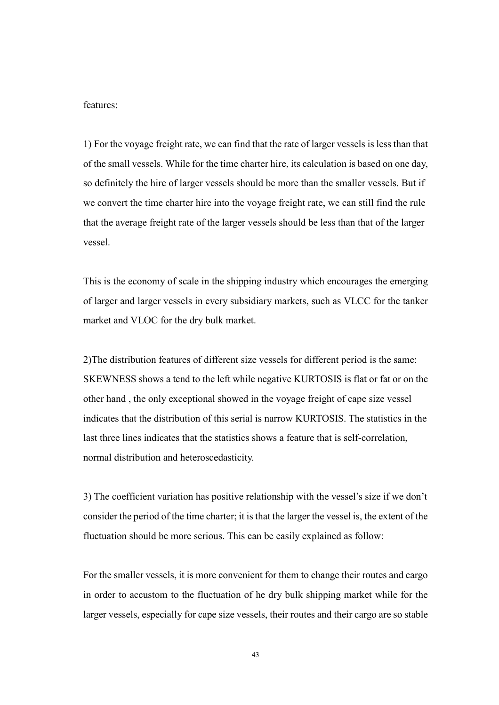features:

1) For the voyage freight rate, we can find that the rate of larger vessels is less than that of the small vessels. While for the time charter hire, its calculation is based on one day, so definitely the hire of larger vessels should be more than the smaller vessels. But if we convert the time charter hire into the voyage freight rate, we can still find the rule that the average freight rate of the larger vessels should be less than that of the larger vessel.

This is the economy of scale in the shipping industry which encourages the emerging of larger and larger vessels in every subsidiary markets, such as VLCC for the tanker market and VLOC for the dry bulk market.

2)The distribution features of different size vessels for different period is the same: SKEWNESS shows a tend to the left while negative KURTOSIS is flat or fat or on the other hand , the only exceptional showed in the voyage freight of cape size vessel indicates that the distribution of this serial is narrow KURTOSIS. The statistics in the last three lines indicates that the statistics shows a feature that is self-correlation, normal distribution and heteroscedasticity.

3) The coefficient variation has positive relationship with the vessel's size if we don't consider the period of the time charter; it is that the larger the vessel is, the extent of the fluctuation should be more serious. This can be easily explained as follow:

For the smaller vessels, it is more convenient for them to change their routes and cargo in order to accustom to the fluctuation of he dry bulk shipping market while for the larger vessels, especially for cape size vessels, their routes and their cargo are so stable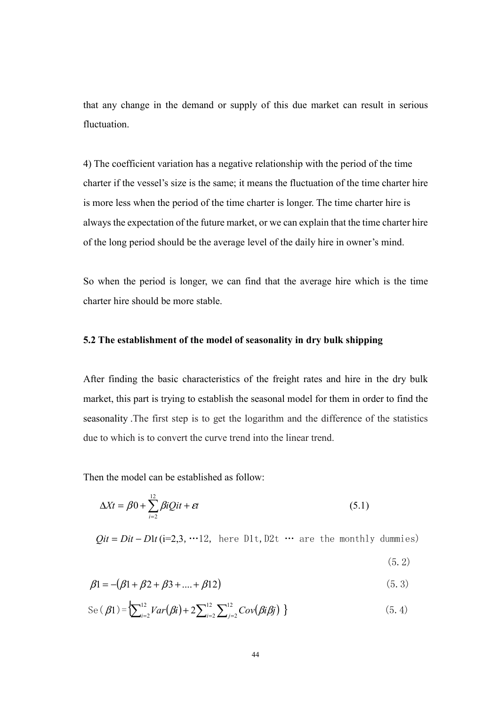that any change in the demand or supply of this due market can result in serious fluctuation.

4) The coefficient variation has a negative relationship with the period of the time charter if the vessel's size is the same; it means the fluctuation of the time charter hire is more less when the period of the time charter is longer. The time charter hire is always the expectation of the future market, or we can explain that the time charter hire of the long period should be the average level of the daily hire in owner's mind.

So when the period is longer, we can find that the average hire which is the time charter hire should be more stable.

### 5.2 The establishment of the model of seasonality in dry bulk shipping

After finding the basic characteristics of the freight rates and hire in the dry bulk market, this part is trying to establish the seasonal model for them in order to find the seasonality .The first step is to get the logarithm and the difference of the statistics due to which is to convert the curve trend into the linear trend.

Then the model can be established as follow:

$$
\Delta Xt = \beta 0 + \sum_{i=2}^{12} \beta iQit + \varepsilon t \tag{5.1}
$$

 $Qit = Dit - Dlt(i=2,3, \cdots 12$ , here D1t, D2t … are the monthly dummies)

(5.2)

$$
\beta_1 = -(\beta_1 + \beta_2 + \beta_3 + \dots + \beta_{12})
$$
\n(5.3)

$$
\operatorname{Se}(\beta 1) = \sum_{i=2}^{12} Var(\beta i) + 2 \sum_{i=2}^{12} \sum_{j=2}^{12} Cov(\beta i \beta j) \}
$$
 (5.4)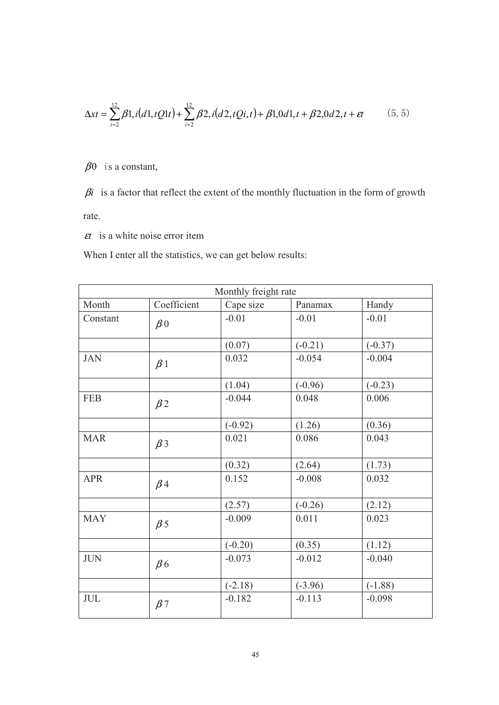$$
\Delta x t = \sum_{i=2}^{12} \beta 1, i(d1, tQ1t) + \sum_{i=2}^{12} \beta 2, i(d2, tQi, t) + \beta 1, 0d1, t + \beta 2, 0d2, t + \varepsilon t \tag{5.5}
$$

 $\beta$ 0 is a constant,

 $\beta$ i is a factor that reflect the extent of the monthly fluctuation in the form of growth rate.

 $\epsilon t$  is a white noise error item

When I enter all the statistics, we can get below results:

| Monthly freight rate |                      |           |           |           |
|----------------------|----------------------|-----------|-----------|-----------|
| Month                | Coefficient          | Cape size | Panamax   | Handy     |
| Constant             | $\beta$ <sub>0</sub> | $-0.01$   | $-0.01$   | $-0.01$   |
|                      |                      | (0.07)    | $(-0.21)$ | $(-0.37)$ |
| <b>JAN</b>           | $\beta$ 1            | 0.032     | $-0.054$  | $-0.004$  |
|                      |                      | (1.04)    | $(-0.96)$ | $(-0.23)$ |
| <b>FEB</b>           | $\beta$ 2            | $-0.044$  | 0.048     | 0.006     |
|                      |                      | $(-0.92)$ | (1.26)    | (0.36)    |
| <b>MAR</b>           | $\beta$ 3            | 0.021     | 0.086     | 0.043     |
|                      |                      | (0.32)    | (2.64)    | (1.73)    |
| <b>APR</b>           | $\beta$ 4            | 0.152     | $-0.008$  | 0.032     |
|                      |                      | (2.57)    | $(-0.26)$ | (2.12)    |
| <b>MAY</b>           | $\beta$ 5            | $-0.009$  | 0.011     | 0.023     |
|                      |                      | $(-0.20)$ | (0.35)    | (1.12)    |
| <b>JUN</b>           | $\beta$ 6            | $-0.073$  | $-0.012$  | $-0.040$  |
|                      |                      | $(-2.18)$ | $(-3.96)$ | $(-1.88)$ |
| <b>JUL</b>           | $\beta$ 7            | $-0.182$  | $-0.113$  | $-0.098$  |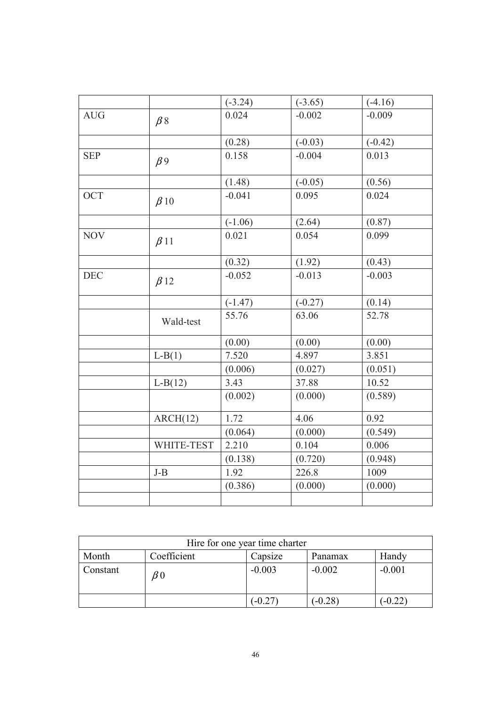|            |            | $(-3.24)$ | $(-3.65)$ | $(-4.16)$ |
|------------|------------|-----------|-----------|-----------|
| <b>AUG</b> | $\beta$ 8  | 0.024     | $-0.002$  | $-0.009$  |
|            |            |           |           |           |
|            |            | (0.28)    | $(-0.03)$ | $(-0.42)$ |
| <b>SEP</b> | $\beta$ 9  | 0.158     | $-0.004$  | 0.013     |
|            |            |           |           |           |
|            |            | (1.48)    | $(-0.05)$ | (0.56)    |
| <b>OCT</b> | $\beta$ 10 | $-0.041$  | 0.095     | 0.024     |
|            |            |           |           |           |
|            |            | $(-1.06)$ | (2.64)    | (0.87)    |
| <b>NOV</b> | $\beta$ 11 | 0.021     | 0.054     | 0.099     |
|            |            |           |           |           |
|            |            | (0.32)    | (1.92)    | (0.43)    |
| <b>DEC</b> | $\beta$ 12 | $-0.052$  | $-0.013$  | $-0.003$  |
|            |            |           |           |           |
|            |            | $(-1.47)$ | $(-0.27)$ | (0.14)    |
|            | Wald-test  | 55.76     | 63.06     | 52.78     |
|            |            |           |           |           |
|            |            | (0.00)    | (0.00)    | (0.00)    |
|            | $L-B(1)$   | 7.520     | 4.897     | 3.851     |
|            |            | (0.006)   | (0.027)   | (0.051)   |
|            | $L-B(12)$  | 3.43      | 37.88     | 10.52     |
|            |            | (0.002)   | (0.000)   | (0.589)   |
|            |            |           |           |           |
|            | ARCH(12)   | 1.72      | 4.06      | 0.92      |
|            |            | (0.064)   | (0.000)   | (0.549)   |
|            | WHITE-TEST | 2.210     | 0.104     | 0.006     |
|            |            | (0.138)   | (0.720)   | (0.948)   |
|            | $J-B$      | 1.92      | 226.8     | 1009      |
|            |            | (0.386)   | (0.000)   | (0.000)   |
|            |            |           |           |           |

| Hire for one year time charter |                     |          |           |           |  |
|--------------------------------|---------------------|----------|-----------|-----------|--|
| Month                          | Coefficient         | Capsize  | Panamax   | Handy     |  |
| Constant                       | $\mathcal{B}^{\,0}$ | $-0.003$ | $-0.002$  | $-0.001$  |  |
|                                |                     | $-0.27$  | $(-0.28)$ | $(-0.22)$ |  |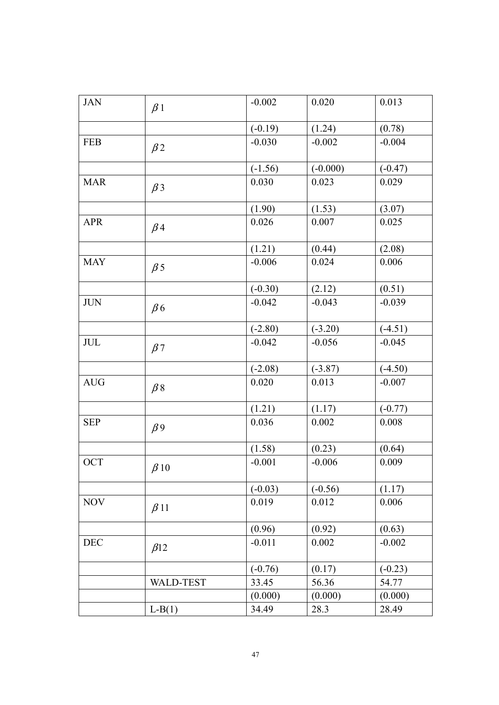| <b>JAN</b> | $\beta$ 1        | $-0.002$  | 0.020      | 0.013     |
|------------|------------------|-----------|------------|-----------|
|            |                  |           |            |           |
|            |                  | $(-0.19)$ | (1.24)     | (0.78)    |
| <b>FEB</b> | $\beta$ 2        | $-0.030$  | $-0.002$   | $-0.004$  |
|            |                  | $(-1.56)$ | $(-0.000)$ | $(-0.47)$ |
| <b>MAR</b> | $\beta$ 3        | 0.030     | 0.023      | 0.029     |
|            |                  | (1.90)    | (1.53)     | (3.07)    |
| <b>APR</b> | $\beta$ 4        | 0.026     | 0.007      | 0.025     |
|            |                  | (1.21)    | (0.44)     | (2.08)    |
| <b>MAY</b> | $\beta$ 5        | $-0.006$  | 0.024      | 0.006     |
|            |                  | $(-0.30)$ | (2.12)     | (0.51)    |
| <b>JUN</b> | $\beta$ 6        | $-0.042$  | $-0.043$   | $-0.039$  |
|            |                  | $(-2.80)$ | $(-3.20)$  | $(-4.51)$ |
| JUL        | $\beta$ 7        | $-0.042$  | $-0.056$   | $-0.045$  |
|            |                  | $(-2.08)$ | $(-3.87)$  | $(-4.50)$ |
| <b>AUG</b> | $\beta$ 8        | 0.020     | 0.013      | $-0.007$  |
|            |                  | (1.21)    | (1.17)     | $(-0.77)$ |
| <b>SEP</b> | $\beta$ 9        | 0.036     | 0.002      | 0.008     |
|            |                  | (1.58)    | (0.23)     | (0.64)    |
| <b>OCT</b> | $\beta$ 10       | $-0.001$  | $-0.006$   | 0.009     |
|            |                  | $(-0.03)$ | $(-0.56)$  | (1.17)    |
| <b>NOV</b> | $\beta$ 11       | 0.019     | 0.012      | 0.006     |
|            |                  | (0.96)    | (0.92)     | (0.63)    |
| DEC        | $\beta$ 12       | $-0.011$  | 0.002      | $-0.002$  |
|            |                  | $(-0.76)$ | (0.17)     | $(-0.23)$ |
|            | <b>WALD-TEST</b> | 33.45     | 56.36      | 54.77     |
|            |                  | (0.000)   | (0.000)    | (0.000)   |
|            | $L-B(1)$         | 34.49     | 28.3       | 28.49     |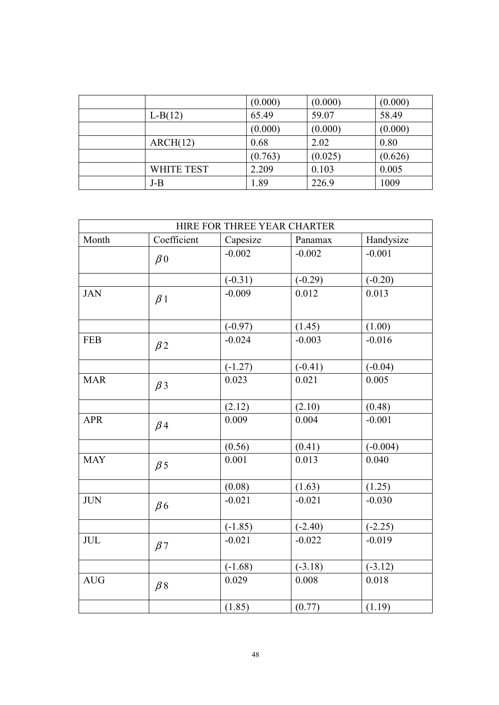|                   | (0.000) | (0.000) | (0.000) |
|-------------------|---------|---------|---------|
| $L-B(12)$         | 65.49   | 59.07   | 58.49   |
|                   | (0.000) | (0.000) | (0.000) |
| ARCH(12)          | 0.68    | 2.02    | 0.80    |
|                   | (0.763) | (0.025) | (0.626) |
| <b>WHITE TEST</b> | 2.209   | 0.103   | 0.005   |
| $J-B$             | 1.89    | 226.9   | 1009    |

| HIRE FOR THREE YEAR CHARTER |                      |           |           |            |  |  |
|-----------------------------|----------------------|-----------|-----------|------------|--|--|
| Month                       | Coefficient          | Capesize  | Panamax   | Handysize  |  |  |
|                             | $\beta$ <sub>0</sub> | $-0.002$  | $-0.002$  | $-0.001$   |  |  |
|                             |                      | $(-0.31)$ | $(-0.29)$ | $(-0.20)$  |  |  |
| <b>JAN</b>                  | $\beta$ 1            | $-0.009$  | 0.012     | 0.013      |  |  |
|                             |                      | $(-0.97)$ | (1.45)    | (1.00)     |  |  |
| <b>FEB</b>                  | $\beta$ 2            | $-0.024$  | $-0.003$  | $-0.016$   |  |  |
|                             |                      | $(-1.27)$ | $(-0.41)$ | $(-0.04)$  |  |  |
| <b>MAR</b>                  | $\beta$ 3            | 0.023     | 0.021     | 0.005      |  |  |
|                             |                      | (2.12)    | (2.10)    | (0.48)     |  |  |
| <b>APR</b>                  | $\beta$ 4            | 0.009     | 0.004     | $-0.001$   |  |  |
|                             |                      | (0.56)    | (0.41)    | $(-0.004)$ |  |  |
| <b>MAY</b>                  | $\beta$ 5            | 0.001     | 0.013     | 0.040      |  |  |
|                             |                      | (0.08)    | (1.63)    | (1.25)     |  |  |
| <b>JUN</b>                  | $\beta$ 6            | $-0.021$  | $-0.021$  | $-0.030$   |  |  |
|                             |                      | $(-1.85)$ | $(-2.40)$ | $(-2.25)$  |  |  |
| $\rm JUL$                   | $\beta$ 7            | $-0.021$  | $-0.022$  | $-0.019$   |  |  |
|                             |                      | $(-1.68)$ | $(-3.18)$ | $(-3.12)$  |  |  |
| <b>AUG</b>                  | $\beta$ 8            | 0.029     | 0.008     | 0.018      |  |  |
|                             |                      | (1.85)    | (0.77)    | (1.19)     |  |  |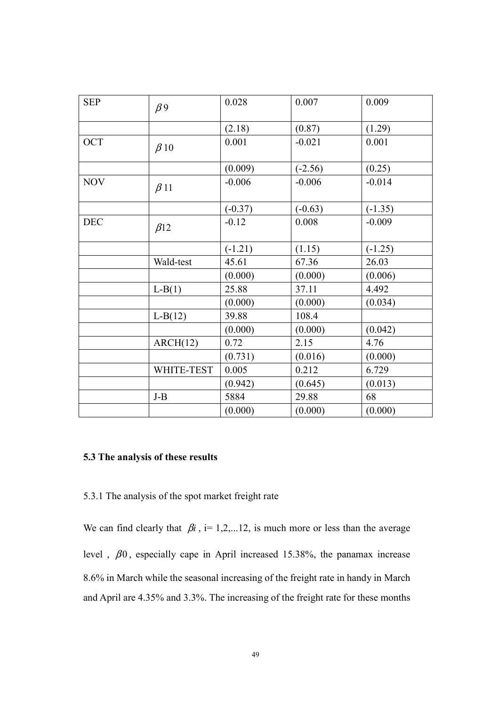| <b>SEP</b> | $\beta$ 9  | 0.028     | 0.007     | 0.009     |
|------------|------------|-----------|-----------|-----------|
|            |            | (2.18)    | (0.87)    | (1.29)    |
| OCT        | $\beta$ 10 | 0.001     | $-0.021$  | 0.001     |
|            |            | (0.009)   | $(-2.56)$ | (0.25)    |
| <b>NOV</b> | $\beta$ 11 | $-0.006$  | $-0.006$  | $-0.014$  |
|            |            | $(-0.37)$ | $(-0.63)$ | $(-1.35)$ |
| <b>DEC</b> | $\beta$ 12 | $-0.12$   | 0.008     | $-0.009$  |
|            |            | $(-1.21)$ | (1.15)    | $(-1.25)$ |
|            | Wald-test  | 45.61     | 67.36     | 26.03     |
|            |            | (0.000)   | (0.000)   | (0.006)   |
|            | $L-B(1)$   | 25.88     | 37.11     | 4.492     |
|            |            | (0.000)   | (0.000)   | (0.034)   |
|            | $L-B(12)$  | 39.88     | 108.4     |           |
|            |            | (0.000)   | (0.000)   | (0.042)   |
|            | ARCH(12)   | 0.72      | 2.15      | 4.76      |
|            |            | (0.731)   | (0.016)   | (0.000)   |
|            | WHITE-TEST | 0.005     | 0.212     | 6.729     |
|            |            | (0.942)   | (0.645)   | (0.013)   |
|            | $J-B$      | 5884      | 29.88     | 68        |
|            |            | (0.000)   | (0.000)   | (0.000)   |

### 5.3 The analysis of these results

### 5.3.1 The analysis of the spot market freight rate

We can find clearly that  $\beta i$ , i= 1,2,...12, is much more or less than the average level ,  $\beta$ 0, especially cape in April increased 15.38%, the panamax increase 8.6% in March while the seasonal increasing of the freight rate in handy in March and April are 4.35% and 3.3%. The increasing of the freight rate for these months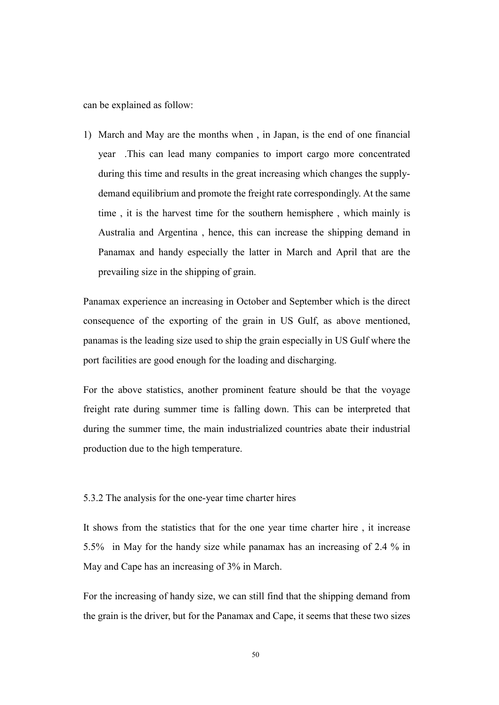can be explained as follow:

1) March and May are the months when , in Japan, is the end of one financial year .This can lead many companies to import cargo more concentrated during this time and results in the great increasing which changes the supplydemand equilibrium and promote the freight rate correspondingly. At the same time , it is the harvest time for the southern hemisphere , which mainly is Australia and Argentina , hence, this can increase the shipping demand in Panamax and handy especially the latter in March and April that are the prevailing size in the shipping of grain.

Panamax experience an increasing in October and September which is the direct consequence of the exporting of the grain in US Gulf, as above mentioned, panamas is the leading size used to ship the grain especially in US Gulf where the port facilities are good enough for the loading and discharging.

For the above statistics, another prominent feature should be that the voyage freight rate during summer time is falling down. This can be interpreted that during the summer time, the main industrialized countries abate their industrial production due to the high temperature.

#### 5.3.2 The analysis for the one-year time charter hires

It shows from the statistics that for the one year time charter hire , it increase 5.5% in May for the handy size while panamax has an increasing of 2.4 % in May and Cape has an increasing of 3% in March.

For the increasing of handy size, we can still find that the shipping demand from the grain is the driver, but for the Panamax and Cape, it seems that these two sizes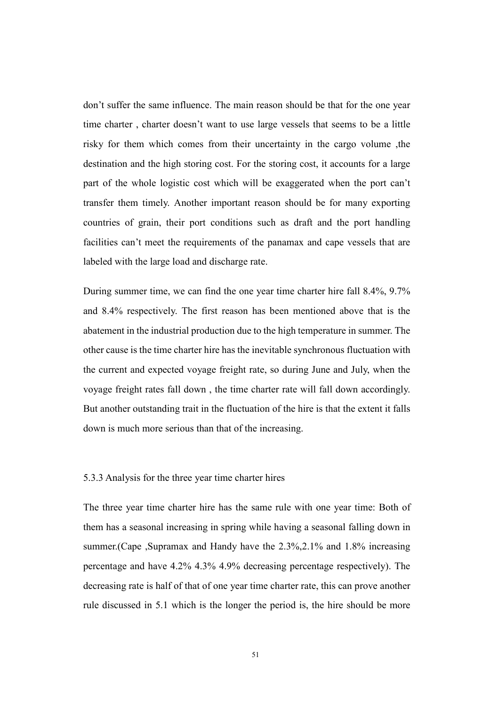don't suffer the same influence. The main reason should be that for the one year time charter , charter doesn't want to use large vessels that seems to be a little risky for them which comes from their uncertainty in the cargo volume ,the destination and the high storing cost. For the storing cost, it accounts for a large part of the whole logistic cost which will be exaggerated when the port can't transfer them timely. Another important reason should be for many exporting countries of grain, their port conditions such as draft and the port handling facilities can't meet the requirements of the panamax and cape vessels that are labeled with the large load and discharge rate.

During summer time, we can find the one year time charter hire fall 8.4%, 9.7% and 8.4% respectively. The first reason has been mentioned above that is the abatement in the industrial production due to the high temperature in summer. The other cause is the time charter hire has the inevitable synchronous fluctuation with the current and expected voyage freight rate, so during June and July, when the voyage freight rates fall down , the time charter rate will fall down accordingly. But another outstanding trait in the fluctuation of the hire is that the extent it falls down is much more serious than that of the increasing.

#### 5.3.3 Analysis for the three year time charter hires

The three year time charter hire has the same rule with one year time: Both of them has a seasonal increasing in spring while having a seasonal falling down in summer. (Cape , Supramax and Handy have the 2.3%, 2.1% and 1.8% increasing percentage and have 4.2% 4.3% 4.9% decreasing percentage respectively). The decreasing rate is half of that of one year time charter rate, this can prove another rule discussed in 5.1 which is the longer the period is, the hire should be more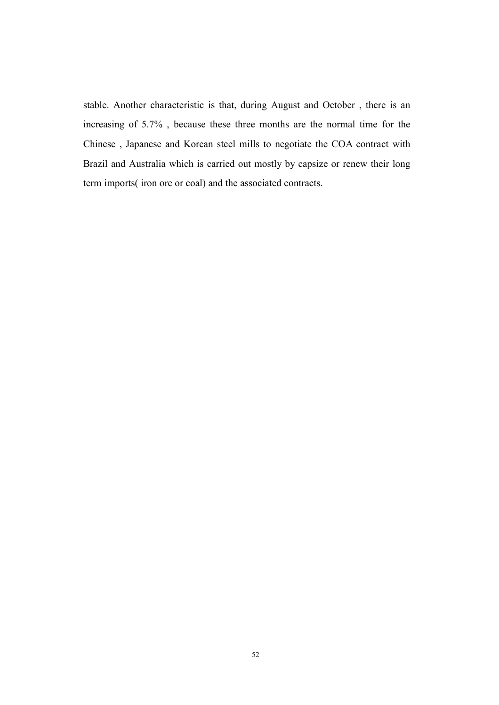stable. Another characteristic is that, during August and October , there is an increasing of 5.7% , because these three months are the normal time for the Chinese , Japanese and Korean steel mills to negotiate the COA contract with Brazil and Australia which is carried out mostly by capsize or renew their long term imports( iron ore or coal) and the associated contracts.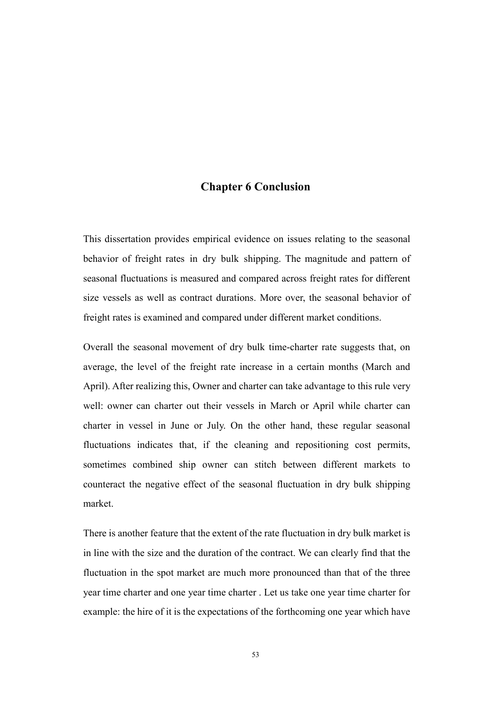### Chapter 6 Conclusion

This dissertation provides empirical evidence on issues relating to the seasonal behavior of freight rates in dry bulk shipping. The magnitude and pattern of seasonal fluctuations is measured and compared across freight rates for different size vessels as well as contract durations. More over, the seasonal behavior of freight rates is examined and compared under different market conditions.

Overall the seasonal movement of dry bulk time-charter rate suggests that, on average, the level of the freight rate increase in a certain months (March and April). After realizing this, Owner and charter can take advantage to this rule very well: owner can charter out their vessels in March or April while charter can charter in vessel in June or July. On the other hand, these regular seasonal fluctuations indicates that, if the cleaning and repositioning cost permits, sometimes combined ship owner can stitch between different markets to counteract the negative effect of the seasonal fluctuation in dry bulk shipping market.

There is another feature that the extent of the rate fluctuation in dry bulk market is in line with the size and the duration of the contract. We can clearly find that the fluctuation in the spot market are much more pronounced than that of the three year time charter and one year time charter . Let us take one year time charter for example: the hire of it is the expectations of the forthcoming one year which have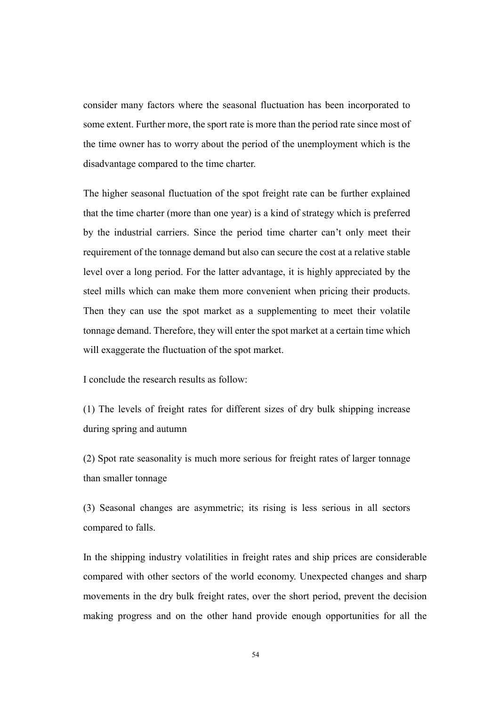consider many factors where the seasonal fluctuation has been incorporated to some extent. Further more, the sport rate is more than the period rate since most of the time owner has to worry about the period of the unemployment which is the disadvantage compared to the time charter.

The higher seasonal fluctuation of the spot freight rate can be further explained that the time charter (more than one year) is a kind of strategy which is preferred by the industrial carriers. Since the period time charter can't only meet their requirement of the tonnage demand but also can secure the cost at a relative stable level over a long period. For the latter advantage, it is highly appreciated by the steel mills which can make them more convenient when pricing their products. Then they can use the spot market as a supplementing to meet their volatile tonnage demand. Therefore, they will enter the spot market at a certain time which will exaggerate the fluctuation of the spot market.

I conclude the research results as follow:

(1) The levels of freight rates for different sizes of dry bulk shipping increase during spring and autumn

(2) Spot rate seasonality is much more serious for freight rates of larger tonnage than smaller tonnage

(3) Seasonal changes are asymmetric; its rising is less serious in all sectors compared to falls.

In the shipping industry volatilities in freight rates and ship prices are considerable compared with other sectors of the world economy. Unexpected changes and sharp movements in the dry bulk freight rates, over the short period, prevent the decision making progress and on the other hand provide enough opportunities for all the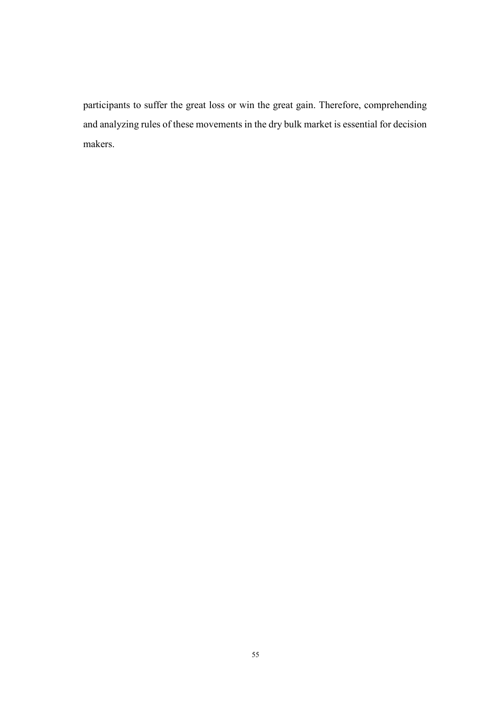participants to suffer the great loss or win the great gain. Therefore, comprehending and analyzing rules of these movements in the dry bulk market is essential for decision makers.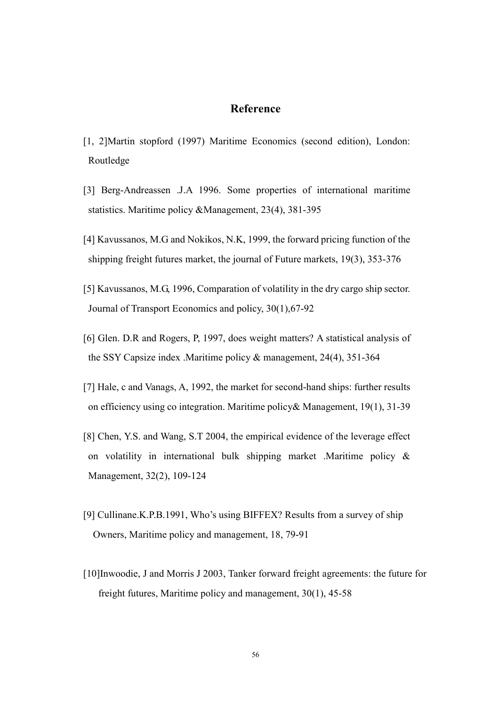### Reference

- [1, 2]Martin stopford (1997) Maritime Economics (second edition), London: Routledge
- [3] Berg-Andreassen .J.A 1996. Some properties of international maritime statistics. Maritime policy &Management, 23(4), 381-395
- [4] Kavussanos, M.G and Nokikos, N.K, 1999, the forward pricing function of the shipping freight futures market, the journal of Future markets, 19(3), 353-376
- [5] Kavussanos, M.G, 1996, Comparation of volatility in the dry cargo ship sector. Journal of Transport Economics and policy, 30(1),67-92
- [6] Glen. D.R and Rogers, P, 1997, does weight matters? A statistical analysis of the SSY Capsize index .Maritime policy & management, 24(4), 351-364
- [7] Hale, c and Vanags, A, 1992, the market for second-hand ships: further results on efficiency using co integration. Maritime policy& Management, 19(1), 31-39
- [8] Chen, Y.S. and Wang, S.T 2004, the empirical evidence of the leverage effect on volatility in international bulk shipping market .Maritime policy & Management, 32(2), 109-124
- [9] Cullinane.K.P.B.1991, Who's using BIFFEX? Results from a survey of ship Owners, Maritime policy and management, 18, 79-91
- [10]Inwoodie, J and Morris J 2003, Tanker forward freight agreements: the future for freight futures, Maritime policy and management, 30(1), 45-58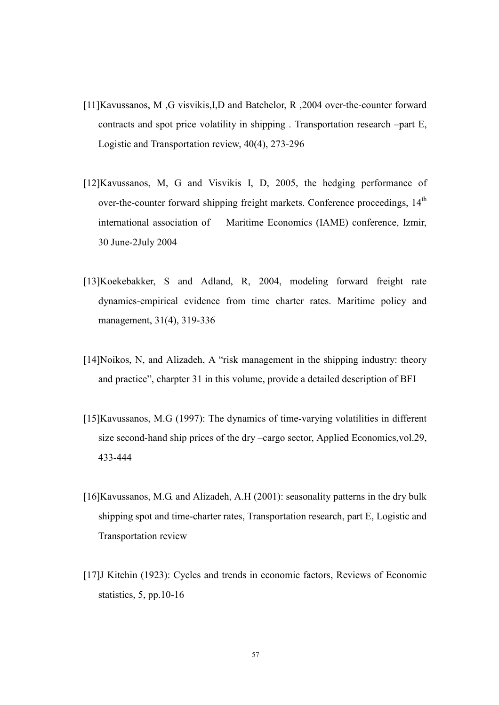- [11]Kavussanos, M ,G visvikis,I,D and Batchelor, R ,2004 over-the-counter forward contracts and spot price volatility in shipping . Transportation research –part E, Logistic and Transportation review, 40(4), 273-296
- [12]Kavussanos, M, G and Visvikis I, D, 2005, the hedging performance of over-the-counter forward shipping freight markets. Conference proceedings, 14<sup>th</sup> international association of Maritime Economics (IAME) conference, Izmir, 30 June-2July 2004
- [13]Koekebakker, S and Adland, R, 2004, modeling forward freight rate dynamics-empirical evidence from time charter rates. Maritime policy and management, 31(4), 319-336
- [14]Noikos, N, and Alizadeh, A "risk management in the shipping industry: theory and practice", charpter 31 in this volume, provide a detailed description of BFI
- [15]Kavussanos, M.G (1997): The dynamics of time-varying volatilities in different size second-hand ship prices of the dry –cargo sector, Applied Economics,vol.29, 433-444
- [16]Kavussanos, M.G. and Alizadeh, A.H (2001): seasonality patterns in the dry bulk shipping spot and time-charter rates, Transportation research, part E, Logistic and Transportation review
- [17]J Kitchin (1923): Cycles and trends in economic factors, Reviews of Economic statistics, 5, pp.10-16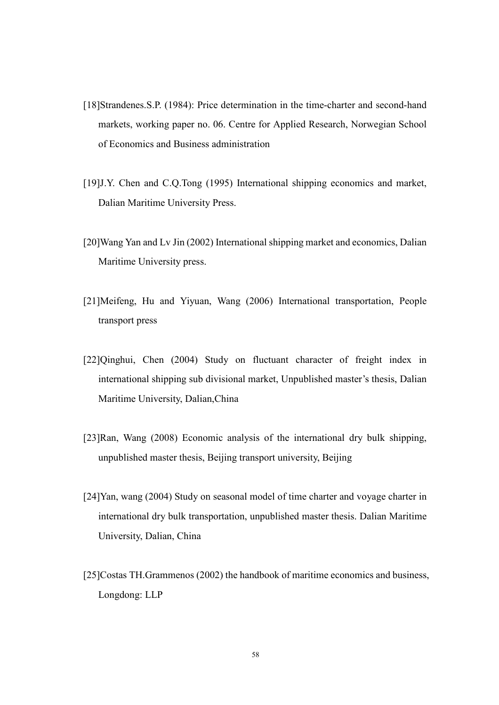- [18]Strandenes.S.P. (1984): Price determination in the time-charter and second-hand markets, working paper no. 06. Centre for Applied Research, Norwegian School of Economics and Business administration
- [19]J.Y. Chen and C.Q.Tong (1995) International shipping economics and market, Dalian Maritime University Press.
- [20]Wang Yan and Lv Jin (2002) International shipping market and economics, Dalian Maritime University press.
- [21]Meifeng, Hu and Yiyuan, Wang (2006) International transportation, People transport press
- [22]Qinghui, Chen (2004) Study on fluctuant character of freight index in international shipping sub divisional market, Unpublished master's thesis, Dalian Maritime University, Dalian,China
- [23]Ran, Wang (2008) Economic analysis of the international dry bulk shipping, unpublished master thesis, Beijing transport university, Beijing
- [24]Yan, wang (2004) Study on seasonal model of time charter and voyage charter in international dry bulk transportation, unpublished master thesis. Dalian Maritime University, Dalian, China
- [25]Costas TH.Grammenos (2002) the handbook of maritime economics and business, Longdong: LLP